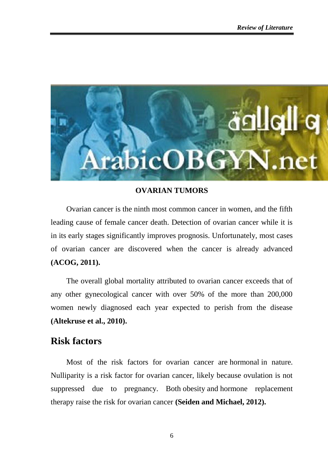

### **OVARIAN TUMORS**

Ovarian cancer is the ninth most common cancer in women, and the fifth leading cause of female cancer death. Detection of ovarian cancer while it is in its early stages significantly improves prognosis. Unfortunately, most cases of ovarian cancer are discovered when the cancer is already advanced **(ACOG, 2011).**

The overall global mortality attributed to ovarian cancer exceeds that of any other gynecological cancer with over 50% of the more than 200,000 women newly diagnosed each year expected to perish from the disease **(Altekruse et al., 2010).**

# **Risk factors**

Most of the risk factors for ovarian cancer are hormonal in nature. Nulliparity is a risk factor for ovarian cancer, likely because ovulation is not suppressed due to pregnancy. Both obesity and hormone replacement therapy raise the risk for ovarian cancer **(Seiden and Michael, 2012).**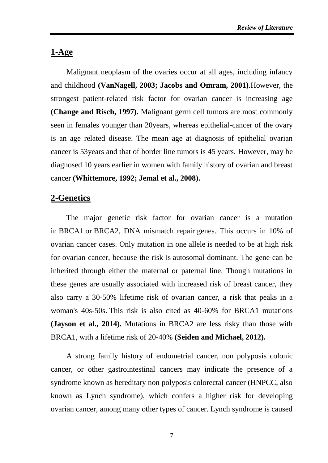### **1-Age**

Malignant neoplasm of the ovaries occur at all ages, including infancy and childhood **(VanNagell, 2003; Jacobs and Omram, 2001)**.However, the strongest patient-related risk factor for ovarian cancer is increasing age **(Change and Risch, 1997).** Malignant germ cell tumors are most commonly seen in females younger than 20years, whereas epithelial-cancer of the ovary is an age related disease. The mean age at diagnosis of epithelial ovarian cancer is 53years and that of border line tumors is 45 years. However, may be diagnosed 10 years earlier in women with family history of ovarian and breast cancer **(Whittemore, 1992; Jemal et al., 2008).**

### **2-Genetics**

The major genetic risk factor for ovarian cancer is a mutation in BRCA1 or BRCA2, DNA mismatch repair genes. This occurs in 10% of ovarian cancer cases. Only mutation in one allele is needed to be at high risk for ovarian cancer, because the risk is autosomal dominant. The gene can be inherited through either the maternal or paternal line. Though mutations in these genes are usually associated with increased risk of breast cancer, they also carry a 30-50% lifetime risk of ovarian cancer, a risk that peaks in a woman's 40s-50s. This risk is also cited as 40-60% for BRCA1 mutations **(Jayson et al., 2014).** Mutations in BRCA2 are less risky than those with BRCA1, with a lifetime risk of 20-40% **(Seiden and Michael, 2012).**

A strong family history of endometrial cancer, non polyposis colonic cancer, or other gastrointestinal cancers may indicate the presence of a syndrome known as hereditary non polyposis colorectal cancer (HNPCC, also known as Lynch syndrome), which confers a higher risk for developing ovarian cancer, among many other types of cancer. Lynch syndrome is caused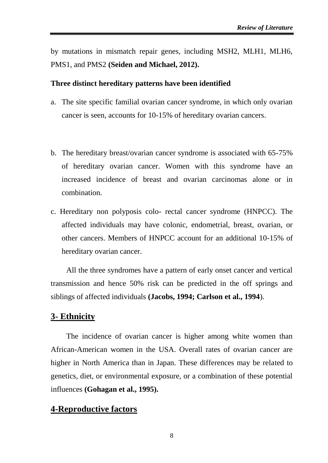by mutations in mismatch repair genes, including MSH2, MLH1, MLH6, PMS1, and PMS2 **(Seiden and Michael, 2012).**

#### **Three distinct hereditary patterns have been identified**

- a. The site specific familial ovarian cancer syndrome, in which only ovarian cancer is seen, accounts for 10-15% of hereditary ovarian cancers.
- b. The hereditary breast/ovarian cancer syndrome is associated with 65-75% of hereditary ovarian cancer. Women with this syndrome have an increased incidence of breast and ovarian carcinomas alone or in combination.
- c. Hereditary non polyposis colo- rectal cancer syndrome (HNPCC). The affected individuals may have colonic, endometrial, breast, ovarian, or other cancers. Members of HNPCC account for an additional 10-15% of hereditary ovarian cancer.

All the three syndromes have a pattern of early onset cancer and vertical transmission and hence 50% risk can be predicted in the off springs and siblings of affected individuals **(Jacobs, 1994; Carlson et al., 1994**).

### **3- Ethnicity**

The incidence of ovarian cancer is higher among white women than African-American women in the USA. Overall rates of ovarian cancer are higher in North America than in Japan. These differences may be related to genetics, diet, or environmental exposure, or a combination of these potential influences **(Gohagan et al., 1995).**

### **4-Reproductive factors**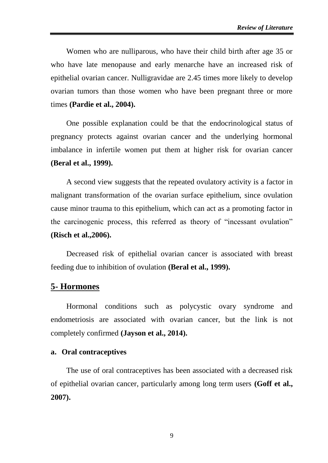Women who are nulliparous, who have their child birth after age 35 or who have late menopause and early menarche have an increased risk of epithelial ovarian cancer. Nulligravidae are 2.45 times more likely to develop ovarian tumors than those women who have been pregnant three or more times **(Pardie et al., 2004).**

One possible explanation could be that the endocrinological status of pregnancy protects against ovarian cancer and the underlying hormonal imbalance in infertile women put them at higher risk for ovarian cancer **(Beral et al., 1999).**

A second view suggests that the repeated ovulatory activity is a factor in malignant transformation of the ovarian surface epithelium, since ovulation cause minor trauma to this epithelium, which can act as a promoting factor in the carcinogenic process, this referred as theory of "incessant ovulation" **(Risch et al.,2006).**

Decreased risk of epithelial ovarian cancer is associated with breast feeding due to inhibition of ovulation **(Beral et al., 1999).**

### **5- Hormones**

Hormonal conditions such as polycystic ovary syndrome and endometriosis are associated with ovarian cancer, but the link is not completely confirmed **(Jayson et al., 2014).**

### **a. Oral contraceptives**

The use of oral contraceptives has been associated with a decreased risk of epithelial ovarian cancer, particularly among long term users **(Goff et al., 2007).**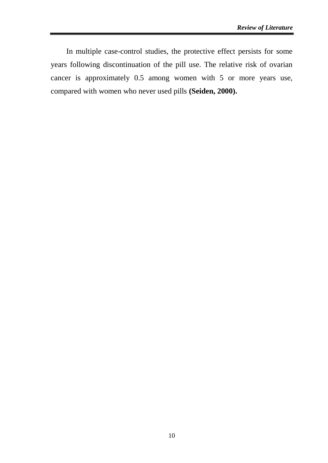In multiple case-control studies, the protective effect persists for some years following discontinuation of the pill use. The relative risk of ovarian cancer is approximately 0.5 among women with 5 or more years use, compared with women who never used pills **(Seiden, 2000).**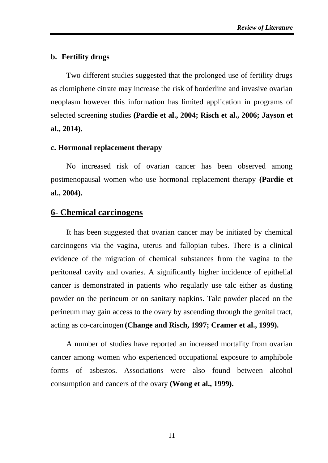#### **b. Fertility drugs**

Two different studies suggested that the prolonged use of fertility drugs as clomiphene citrate may increase the risk of borderline and invasive ovarian neoplasm however this information has limited application in programs of selected screening studies **(Pardie et al., 2004; Risch et al., 2006; Jayson et al., 2014).**

#### **c. Hormonal replacement therapy**

No increased risk of ovarian cancer has been observed among postmenopausal women who use hormonal replacement therapy **(Pardie et al., 2004).**

### **6- Chemical carcinogens**

It has been suggested that ovarian cancer may be initiated by chemical carcinogens via the vagina, uterus and fallopian tubes. There is a clinical evidence of the migration of chemical substances from the vagina to the peritoneal cavity and ovaries. A significantly higher incidence of epithelial cancer is demonstrated in patients who regularly use talc either as dusting powder on the perineum or on sanitary napkins. Talc powder placed on the perineum may gain access to the ovary by ascending through the genital tract, acting as co-carcinogen **(Change and Risch, 1997; Cramer et al., 1999).** 

A number of studies have reported an increased mortality from ovarian cancer among women who experienced occupational exposure to amphibole forms of [asbestos.](http://www.asbestos.com/asbestos/) Associations were also found between alcohol consumption and cancers of the ovary **(Wong et al., 1999).**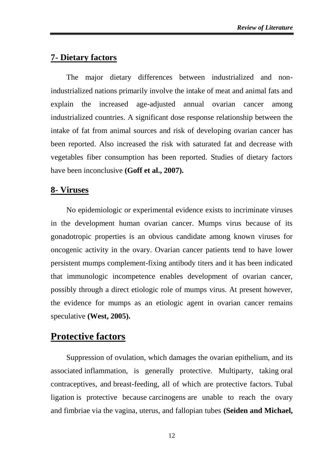# **7- Dietary factors**

The major dietary differences between industrialized and nonindustrialized nations primarily involve the intake of meat and animal fats and explain the increased age-adjusted annual ovarian cancer among industrialized countries. A significant dose response relationship between the intake of fat from animal sources and risk of developing ovarian cancer has been reported. Also increased the risk with saturated fat and decrease with vegetables fiber consumption has been reported. Studies of dietary factors have been inconclusive **(Goff et al., 2007).**

# **8- Viruses**

No epidemiologic or experimental evidence exists to incriminate viruses in the development human ovarian cancer. Mumps virus because of its gonadotropic properties is an obvious candidate among known viruses for oncogenic activity in the ovary. Ovarian cancer patients tend to have lower persistent mumps complement-fixing antibody titers and it has been indicated that immunologic incompetence enables development of ovarian cancer, possibly through a direct etiologic role of mumps virus. At present however, the evidence for mumps as an etiologic agent in ovarian cancer remains speculative **(West, 2005).**

# **Protective factors**

Suppression of ovulation, which damages the ovarian epithelium, and its associated inflammation, is generally protective. Multiparty, taking oral contraceptives, and breast-feeding, all of which are protective factors. Tubal ligation is protective because carcinogens are unable to reach the ovary and fimbriae via the vagina, uterus, and fallopian tubes **(Seiden and Michael,**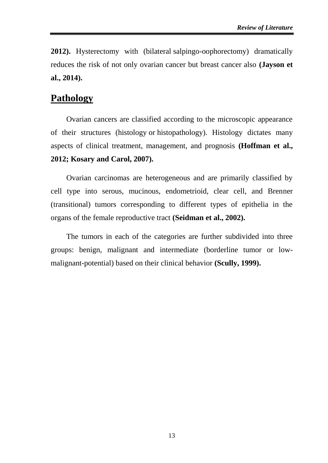**2012).** Hysterectomy with (bilateral salpingo-oophorectomy) dramatically reduces the risk of not only ovarian cancer but breast cancer also **(Jayson et al., 2014).**

# **Pathology**

Ovarian cancers are classified according to the microscopic appearance of their structures (histology or histopathology). Histology dictates many aspects of clinical treatment, management, and prognosis **(Hoffman et al., 2012; Kosary and Carol, 2007).**

Ovarian carcinomas are heterogeneous and are primarily classified by cell type into serous, mucinous, endometrioid, clear cell, and Brenner (transitional) tumors corresponding to different types of epithelia in the organs of the female reproductive tract **(Seidman et al., 2002).**

The tumors in each of the categories are further subdivided into three groups: benign, malignant and intermediate (borderline tumor or lowmalignant-potential) based on their clinical behavior **(Scully, 1999).**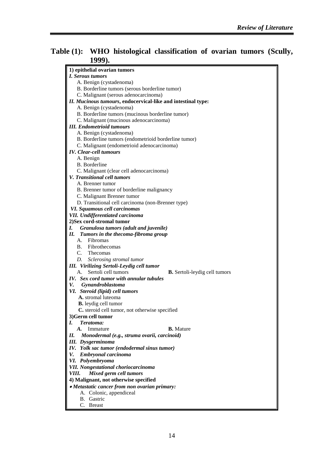# **Table (1): WHO histological classification of ovarian tumors (Scully, 1999).**

| 1) epithelial ovarian tumors                                      |
|-------------------------------------------------------------------|
| I. Serous tumors                                                  |
| A. Benign (cystadenoma)                                           |
| B. Borderline tumors (serous borderline tumor)                    |
| C. Malignant (serous adenocarcinoma)                              |
| II. Mucinous tumours, endocervical-like and intestinal type:      |
| A. Benign (cystadenoma)                                           |
| B. Borderline tumors (mucinous borderline tumor)                  |
| C. Malignant (mucinous adenocarcinoma)                            |
| <b>III.</b> Endometrioid tumours                                  |
| A. Benign (cystadenoma)                                           |
| B. Borderline tumors (endometrioid borderline tumor)              |
| C. Malignant (endometrioid adenocarcinoma)                        |
| <b>IV.</b> Clear-cell tumours                                     |
| A. Benign                                                         |
| B. Borderline                                                     |
| C. Malignant (clear cell adenocarcinoma)                          |
| V. Transitional cell tumors                                       |
| A. Brenner tumor                                                  |
| B. Brenner tumor of borderline malignancy                         |
| C. Malignant Brenner tumor                                        |
| D. Transitional cell carcinoma (non-Brenner type)                 |
| VI. Squamous cell carcinomas                                      |
| <b>VII.</b> Undifferentiated carcinoma                            |
| 2) Sex cord-stromal tumor                                         |
| Granulosa tumors (adult and juvenile)<br>I.                       |
| П.<br>Tumors in the thecoma-fibroma group                         |
| A. Fibromas                                                       |
| B. Fibrothecomas                                                  |
| C. Thecomas                                                       |
| D. Sclerosing stromal tumor                                       |
| <b>III.</b> Virilizing Sertoli-Leydig cell tumor                  |
| Sertoli cell tumors<br>A.<br><b>B.</b> Sertoli-leydig cell tumors |
| IV. Sex cord tumor with annular tubules<br>V.                     |
| <b>Gynandroblastoma</b><br>VI. Steroid (lipid) cell tumors        |
| A. stromal luteoma                                                |
| <b>B.</b> leydig cell tumor                                       |
| C. steroid cell tumor, not otherwise specified                    |
| 3)Germ cell tumor                                                 |
| Teratoma:<br>L                                                    |
| <b>B.</b> Mature<br>A.<br>Immature                                |
| Н.<br>Monodermal (e.g., struma ovarii, carcinoid)                 |
| <b>III.</b> Dysgerminoma                                          |
| IV. Yolk sac tumor (endodermal sinus tumor)                       |
| V.<br>Embryonal carcinoma                                         |
| VI. Polyembryoma                                                  |
| <b>VII.</b> Nongestational choriocarcinoma                        |
| Mixed germ cell tumors<br>VIII.                                   |
| 4) Malignant, not otherwise specified                             |
| • Metastatic cancer from non ovarian primary:                     |
| A. Colonic, appendiceal                                           |
| B. Gastric                                                        |
| C. Breast                                                         |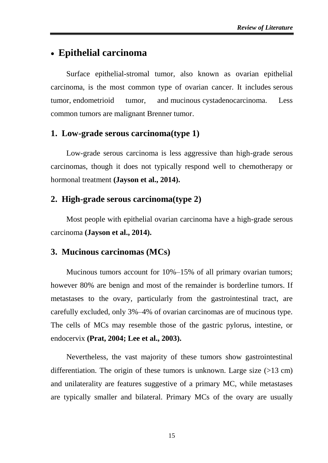# **Epithelial carcinoma**

Surface epithelial-stromal tumor, also known as ovarian epithelial carcinoma, is the most common type of ovarian cancer. It includes serous tumor, endometrioid tumor, and mucinous cystadenocarcinoma. Less common tumors are malignant Brenner tumor.

# **1. Low-grade serous carcinoma(type 1)**

Low-grade serous carcinoma is less aggressive than high-grade serous carcinomas, though it does not typically respond well to chemotherapy or hormonal treatment **(Jayson et al., 2014).**

### **2. High-grade serous carcinoma(type 2)**

Most people with epithelial ovarian carcinoma have a high-grade serous carcinoma **(Jayson et al., 2014).**

## **3. Mucinous carcinomas (MCs)**

Mucinous tumors account for 10%–15% of all primary ovarian tumors; however 80% are benign and most of the remainder is borderline tumors. If metastases to the ovary, particularly from the gastrointestinal tract, are carefully excluded, only 3%–4% of ovarian carcinomas are of mucinous type. The cells of MCs may resemble those of the gastric pylorus, intestine, or endocervix **(Prat, 2004; Lee et al., 2003).**

Nevertheless, the vast majority of these tumors show gastrointestinal differentiation. The origin of these tumors is unknown. Large size (>13 cm) and unilaterality are features suggestive of a primary MC, while metastases are typically smaller and bilateral. Primary MCs of the ovary are usually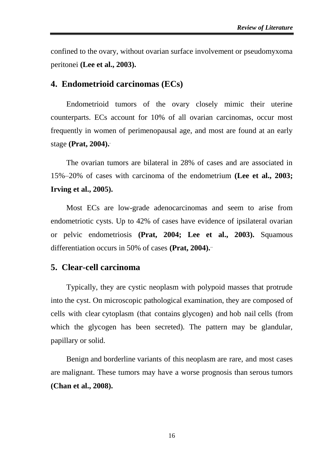confined to the ovary, without ovarian surface involvement or pseudomyxoma peritonei **(Lee et al., 2003).**

### **4. Endometrioid carcinomas (ECs)**

Endometrioid tumors of the ovary closely mimic their uterine counterparts. ECs account for 10% of all ovarian carcinomas, occur most frequently in women of perimenopausal age, and most are found at an early stage **(Prat, 2004).**.

The ovarian tumors are bilateral in 28% of cases and are associated in 15%–20% of cases with carcinoma of the endometrium **(Lee et al., 2003; Irving et al., 2005).**

Most ECs are low-grade adenocarcinomas and seem to arise from endometriotic cysts. Up to 42% of cases have evidence of ipsilateral ovarian or pelvic endometriosis **(Prat, 2004; Lee et al., 2003).** Squamous differentiation occurs in 50% of cases **(Prat, 2004).**..

### **5. Clear-cell carcinoma**

Typically, they are cystic neoplasm with polypoid masses that protrude into the cyst. On microscopic pathological examination, they are composed of cells with clear cytoplasm (that contains glycogen) and hob nail cells (from which the glycogen has been secreted). The pattern may be glandular, papillary or solid.

Benign and borderline variants of this neoplasm are rare, and most cases are malignant. These tumors may have a worse prognosis than serous tumors **(Chan et al., 2008).**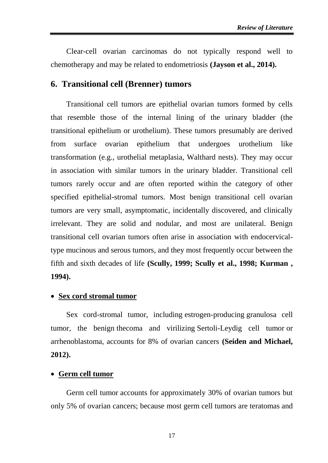Clear-cell ovarian carcinomas do not typically respond well to chemotherapy and may be related to endometriosis **(Jayson et al., 2014).**

## **6. Transitional cell (Brenner) tumors**

Transitional cell tumors are epithelial ovarian tumors formed by cells that resemble those of the internal lining of the urinary bladder (the transitional epithelium or urothelium). These tumors presumably are derived from surface ovarian epithelium that undergoes urothelium like transformation (e.g., urothelial metaplasia, Walthard nests). They may occur in association with similar tumors in the urinary bladder. Transitional cell tumors rarely occur and are often reported within the category of other specified epithelial-stromal tumors. Most benign transitional cell ovarian tumors are very small, asymptomatic, incidentally discovered, and clinically irrelevant. They are solid and nodular, and most are unilateral. Benign transitional cell ovarian tumors often arise in association with endocervicaltype mucinous and serous tumors, and they most frequently occur between the fifth and sixth decades of life **(Scully, 1999; Scully et al., 1998; Kurman , 1994).**

### **Sex cord stromal tumor**

Sex cord-stromal tumor, including estrogen-producing granulosa cell tumor, the benign thecoma and virilizing Sertoli-Leydig cell tumor or arrhenoblastoma, accounts for 8% of ovarian cancers **(Seiden and Michael, 2012).**

### **Germ cell tumor**

Germ cell tumor accounts for approximately 30% of ovarian tumors but only 5% of ovarian cancers; because most germ cell tumors are teratomas and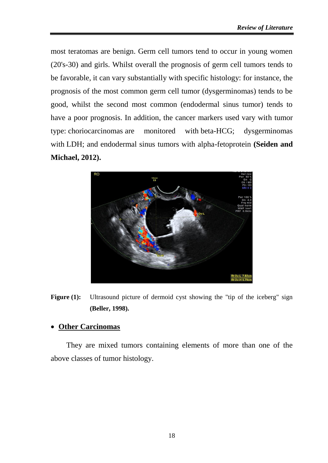most teratomas are benign. Germ cell tumors tend to occur in young women (20's-30) and girls. Whilst overall the prognosis of germ cell tumors tends to be favorable, it can vary substantially with specific histology: for instance, the prognosis of the most common germ cell tumor (dysgerminomas) tends to be good, whilst the second most common (endodermal sinus tumor) tends to have a poor prognosis. In addition, the cancer markers used vary with tumor type: choriocarcinomas are monitored with beta-HCG; dysgerminomas with LDH; and endodermal sinus tumors with alpha-fetoprotein **(Seiden and Michael, 2012).**



**Figure (1):** Ultrasound picture of dermoid cyst showing the "tip of the iceberg" sign **(Beller, 1998).**

# **Other Carcinomas**

They are mixed tumors containing elements of more than one of the above classes of tumor histology.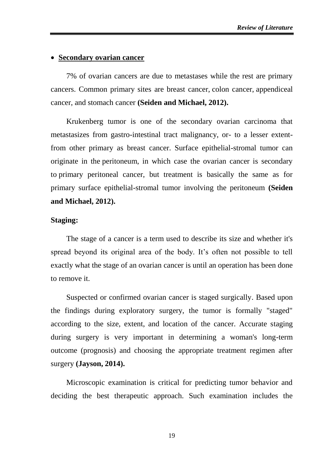#### **Secondary ovarian cancer**

7% of ovarian cancers are due to metastases while the rest are primary cancers. Common primary sites are breast cancer, colon cancer, appendiceal cancer, and stomach cancer **(Seiden and Michael, 2012).**

Krukenberg tumor is one of the secondary ovarian carcinoma that metastasizes from gastro-intestinal tract malignancy, or- to a lesser extentfrom other primary as breast cancer. Surface epithelial-stromal tumor can originate in the peritoneum, in which case the ovarian cancer is secondary to primary peritoneal cancer, but treatment is basically the same as for primary surface epithelial-stromal tumor involving the peritoneum **(Seiden and Michael, 2012).**

#### **Staging:**

The stage of a cancer is a term used to describe its size and whether it's spread beyond its original area of the body. It's often not possible to tell exactly what the stage of an ovarian cancer is until an operation has been done to remove it.

Suspected or confirmed ovarian cancer is staged surgically. Based upon the findings during exploratory surgery, the tumor is formally "staged" according to the size, extent, and location of the cancer. Accurate staging during surgery is very important in determining a woman's long-term outcome (prognosis) and choosing the appropriate treatment regimen after surgery **(Jayson, 2014).**

Microscopic examination is critical for predicting tumor behavior and deciding the best therapeutic approach. Such examination includes the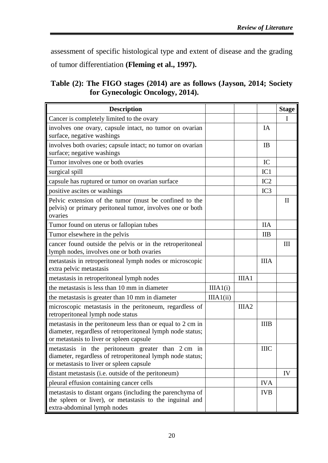assessment of specific histological type and extent of disease and the grading of tumor differentiation **(Fleming et al., 1997).**

**Table (2): The FIGO stages (2014) are as follows (Jayson, 2014; Society for Gynecologic Oncology, 2014).**

| <b>Description</b>                                                                                                                                                   |           |                   |                 | <b>Stage</b>                     |
|----------------------------------------------------------------------------------------------------------------------------------------------------------------------|-----------|-------------------|-----------------|----------------------------------|
| Cancer is completely limited to the ovary                                                                                                                            |           |                   |                 | $\mathbf I$                      |
| involves one ovary, capsule intact, no tumor on ovarian<br>surface, negative washings                                                                                |           |                   | IA              |                                  |
| involves both ovaries; capsule intact; no tumor on ovarian<br>surface; negative washings                                                                             |           |                   | IB              |                                  |
| Tumor involves one or both ovaries                                                                                                                                   |           |                   | IC              |                                  |
| surgical spill                                                                                                                                                       |           |                   | IC1             |                                  |
| capsule has ruptured or tumor on ovarian surface                                                                                                                     |           |                   | IC2             |                                  |
| positive ascites or washings                                                                                                                                         |           |                   | IC <sub>3</sub> |                                  |
| Pelvic extension of the tumor (must be confined to the<br>pelvis) or primary peritoneal tumor, involves one or both<br>ovaries                                       |           |                   |                 | $\mathbf{I}$                     |
| Tumor found on uterus or fallopian tubes                                                                                                                             |           |                   | <b>IIA</b>      |                                  |
| Tumor elsewhere in the pelvis                                                                                                                                        |           |                   | <b>IIB</b>      |                                  |
| cancer found outside the pelvis or in the retroperitoneal<br>lymph nodes, involves one or both ovaries                                                               |           |                   |                 | $\mathop{\mathrm{III}}\nolimits$ |
| metastasis in retroperitoneal lymph nodes or microscopic<br>extra pelvic metastasis                                                                                  |           |                   | <b>IIIA</b>     |                                  |
| metastasis in retroperitoneal lymph nodes                                                                                                                            |           | IIIA1             |                 |                                  |
| the metastasis is less than 10 mm in diameter                                                                                                                        | IIIA1(i)  |                   |                 |                                  |
| the metastasis is greater than 10 mm in diameter                                                                                                                     | IIIA1(ii) |                   |                 |                                  |
| microscopic metastasis in the peritoneum, regardless of<br>retroperitoneal lymph node status                                                                         |           | IIIA <sub>2</sub> |                 |                                  |
| metastasis in the peritoneum less than or equal to 2 cm in<br>diameter, regardless of retroperitoneal lymph node status;<br>or metastasis to liver or spleen capsule |           |                   | <b>IIIB</b>     |                                  |
| metastasis in the peritoneum greater than 2 cm in<br>diameter, regardless of retroperitoneal lymph node status;<br>or metastasis to liver or spleen capsule          |           |                   | <b>IIIC</b>     |                                  |
| distant metastasis (i.e. outside of the peritoneum)                                                                                                                  |           |                   |                 | IV                               |
| pleural effusion containing cancer cells                                                                                                                             |           |                   | <b>IVA</b>      |                                  |
| metastasis to distant organs (including the parenchyma of<br>the spleen or liver), or metastasis to the inguinal and<br>extra-abdominal lymph nodes                  |           |                   | <b>IVB</b>      |                                  |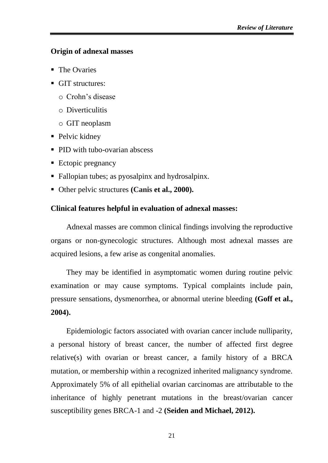### **Origin of adnexal masses**

- The Ovaries
- GIT structures:
	- o Crohn's disease
	- o Diverticulitis
	- o GIT neoplasm
- Pelvic kidney
- **PID** with tubo-ovarian abscess
- Ectopic pregnancy
- Fallopian tubes; as pyosalpinx and hydrosalpinx.
- Other pelvic structures **(Canis et al., 2000).**

### **Clinical features helpful in evaluation of adnexal masses:**

Adnexal masses are common clinical findings involving the reproductive organs or non-gynecologic structures. Although most adnexal masses are acquired lesions, a few arise as congenital anomalies.

They may be identified in asymptomatic women during routine pelvic examination or may cause symptoms. Typical complaints include pain, pressure sensations, dysmenorrhea, or abnormal uterine bleeding **(Goff et al., 2004).**

Epidemiologic factors associated with ovarian cancer include nulliparity, a personal history of breast cancer, the number of affected first degree relative(s) with ovarian or breast cancer, a family history of a BRCA mutation, or membership within a recognized inherited malignancy syndrome. Approximately 5% of all epithelial ovarian carcinomas are attributable to the inheritance of highly penetrant mutations in the breast/ovarian cancer susceptibility genes BRCA-1 and -2 **(Seiden and Michael, 2012).**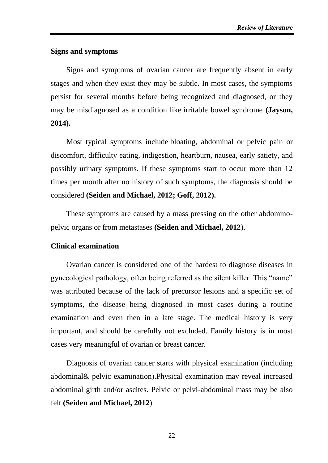### **Signs and symptoms**

Signs and symptoms of ovarian cancer are frequently absent in early stages and when they exist they may be subtle. In most cases, the symptoms persist for several months before being recognized and diagnosed, or they may be misdiagnosed as a condition like irritable bowel syndrome **(Jayson, 2014).**

Most typical symptoms include bloating, abdominal or pelvic pain or discomfort, difficulty eating, indigestion, heartburn, nausea, early satiety, and possibly urinary symptoms. If these symptoms start to occur more than 12 times per month after no history of such symptoms, the diagnosis should be considered **(Seiden and Michael, 2012; Goff, 2012).**

These symptoms are caused by a mass pressing on the other abdominopelvic organs or from metastases **(Seiden and Michael, 2012**).

### **Clinical examination**

Ovarian cancer is considered one of the hardest to diagnose diseases in gynecological pathology, often being referred as the silent killer. This "name" was attributed because of the lack of precursor lesions and a specific set of symptoms, the disease being diagnosed in most cases during a routine examination and even then in a late stage. The medical history is very important, and should be carefully not excluded. Family history is in most cases very meaningful of ovarian or breast cancer.

Diagnosis of ovarian cancer starts with physical examination (including abdominal& pelvic examination).Physical examination may reveal increased abdominal girth and/or ascites. Pelvic or pelvi-abdominal mass may be also felt **(Seiden and Michael, 2012**).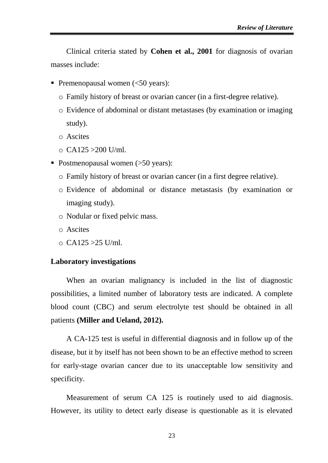Clinical criteria stated by **Cohen et al., 2001** for diagnosis of ovarian masses include:

- Premenopausal women  $\leq 50$  years):
	- o Family history of breast or ovarian cancer (in a first-degree relative).
	- o Evidence of abdominal or distant metastases (by examination or imaging study).
	- o Ascites
	- $\Omega$  CA125 > 200 U/ml.
- Postmenopausal women (>50 years):
	- o Family history of breast or ovarian cancer (in a first degree relative).
	- o Evidence of abdominal or distance metastasis (by examination or imaging study).
	- o Nodular or fixed pelvic mass.
	- o Ascites
	- $\circ$  CA125 > 25 U/ml.

#### **Laboratory investigations**

When an ovarian malignancy is included in the list of diagnostic possibilities, a limited number of laboratory tests are indicated. A complete blood count (CBC) and serum electrolyte test should be obtained in all patients **(Miller and Ueland, 2012).**

A CA-125 test is useful in differential diagnosis and in follow up of the disease, but it by itself has not been shown to be an effective method to screen for early-stage ovarian cancer due to its unacceptable low sensitivity and specificity.

Measurement of serum CA 125 is routinely used to aid diagnosis. However, its utility to detect early disease is questionable as it is elevated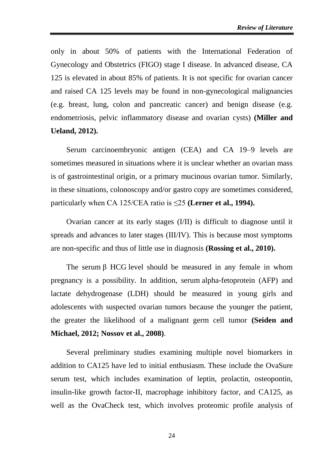only in about 50% of patients with the International Federation of Gynecology and Obstetrics (FIGO) stage I disease. In advanced disease, CA 125 is elevated in about 85% of patients. It is not specific for ovarian cancer and raised CA 125 levels may be found in non-gynecological malignancies (e.g. breast, lung, colon and pancreatic cancer) and benign disease (e.g. endometriosis, pelvic inflammatory disease and ovarian cysts) **(Miller and Ueland, 2012).**

Serum carcinoembryonic antigen (CEA) and CA 19–9 levels are sometimes measured in situations where it is unclear whether an ovarian mass is of gastrointestinal origin, or a primary mucinous ovarian tumor. Similarly, in these situations, colonoscopy and/or gastro copy are sometimes considered, particularly when CA 125/CEA ratio is ≤25 **(Lerner et al., 1994).**

Ovarian cancer at its early stages (I/II) is difficult to diagnose until it spreads and advances to later stages (III/IV). This is because most symptoms are non-specific and thus of little use in diagnosis **(Rossing et al., 2010).**

The serum  $\beta$  HCG level should be measured in any female in whom pregnancy is a possibility. In addition, serum alpha-fetoprotein (AFP) and lactate dehydrogenase (LDH) should be measured in young girls and adolescents with suspected ovarian tumors because the younger the patient, the greater the likelihood of a malignant germ cell tumor **(Seiden and Michael, 2012; Nossov et al., 2008)**.

Several preliminary studies examining multiple novel biomarkers in addition to CA125 have led to initial enthusiasm. These include the OvaSure serum test, which includes examination of leptin, prolactin, osteopontin, insulin-like growth factor-II, macrophage inhibitory factor, and CA125, as well as the OvaCheck test, which involves proteomic profile analysis of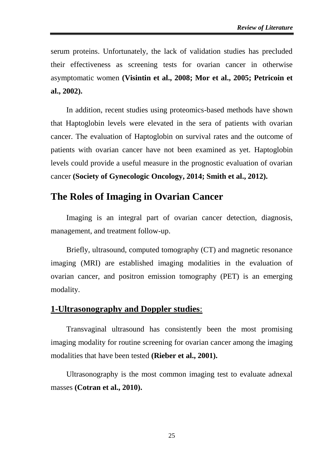serum proteins. Unfortunately, the lack of validation studies has precluded their effectiveness as screening tests for ovarian cancer in otherwise asymptomatic women **(Visintin et al., 2008; Mor et al., 2005; Petricoin et al., 2002).**

In addition, recent studies using proteomics-based methods have shown that Haptoglobin levels were elevated in the sera of patients with ovarian cancer. The evaluation of Haptoglobin on survival rates and the outcome of patients with ovarian cancer have not been examined as yet. Haptoglobin levels could provide a useful measure in the prognostic evaluation of ovarian cancer **[\(Society of Gynecologic Oncology,](https://en.wikipedia.org/wiki/Society_of_Gynecologic_Oncology) 2014; Smith et al., 2012).**

# **The Roles of Imaging in Ovarian Cancer**

Imaging is an integral part of ovarian cancer detection, diagnosis, management, and treatment follow-up.

Briefly, ultrasound, computed tomography (CT) and magnetic resonance imaging (MRI) are established imaging modalities in the evaluation of ovarian cancer, and positron emission tomography (PET) is an emerging modality.

# **1-Ultrasonography and Doppler studies**:

Transvaginal ultrasound has consistently been the most promising imaging modality for routine screening for ovarian cancer among the imaging modalities that have been tested **(Rieber et al., 2001).**

Ultrasonography is the most common imaging test to evaluate adnexal masses **(Cotran et al., 2010).**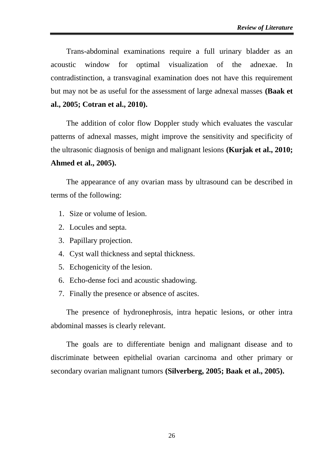Trans-abdominal examinations require a full urinary bladder as an acoustic window for optimal visualization of the adnexae. In contradistinction, a transvaginal examination does not have this requirement but may not be as useful for the assessment of large adnexal masses **(Baak et al., 2005; Cotran et al., 2010).**

The addition of color flow Doppler study which evaluates the vascular patterns of adnexal masses, might improve the sensitivity and specificity of the ultrasonic diagnosis of benign and malignant lesions **(Kurjak et al., 2010; Ahmed et al., 2005).**

The appearance of any ovarian mass by ultrasound can be described in terms of the following:

- 1. Size or volume of lesion.
- 2. Locules and septa.
- 3. Papillary projection.
- 4. Cyst wall thickness and septal thickness.
- 5. Echogenicity of the lesion.
- 6. Echo-dense foci and acoustic shadowing.
- 7. Finally the presence or absence of ascites.

The presence of hydronephrosis, intra hepatic lesions, or other intra abdominal masses is clearly relevant.

The goals are to differentiate benign and malignant disease and to discriminate between epithelial ovarian carcinoma and other primary or secondary ovarian malignant tumors **(Silverberg, 2005; Baak et al., 2005).**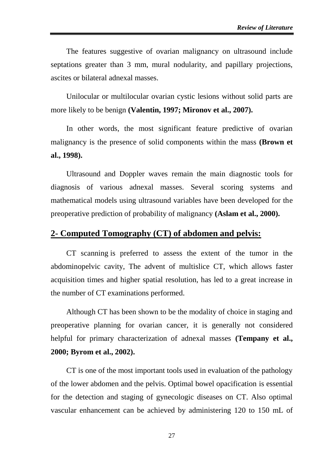The features suggestive of ovarian malignancy on ultrasound include septations greater than 3 mm, mural nodularity, and papillary projections, ascites or bilateral adnexal masses.

Unilocular or multilocular ovarian cystic lesions without solid parts are more likely to be benign **(Valentin, 1997; Mironov et al., 2007).**

In other words, the most significant feature predictive of ovarian malignancy is the presence of solid components within the mass **(Brown et al., 1998).**

Ultrasound and Doppler waves remain the main diagnostic tools for diagnosis of various adnexal masses. Several scoring systems and mathematical models using ultrasound variables have been developed for the preoperative prediction of probability of malignancy **(Aslam et al., 2000).**

## **2- Computed Tomography (CT) of abdomen and pelvis:**

CT scanning is preferred to assess the extent of the tumor in the abdominopelvic cavity, The advent of multislice CT, which allows faster acquisition times and higher spatial resolution, has led to a great increase in the number of CT examinations performed.

Although CT has been shown to be the modality of choice in staging and preoperative planning for ovarian cancer, it is generally not considered helpful for primary characterization of adnexal masses **(Tempany et al., 2000; Byrom et al., 2002).**

CT is one of the most important tools used in evaluation of the pathology of the lower abdomen and the pelvis. Optimal bowel opacification is essential for the detection and staging of gynecologic diseases on CT. Also optimal vascular enhancement can be achieved by administering 120 to 150 mL of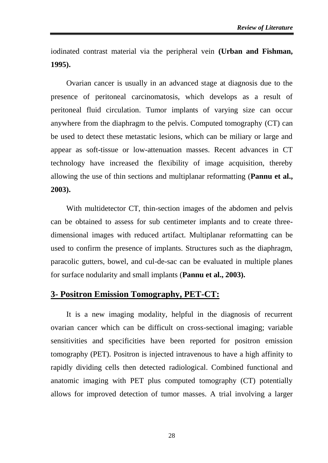iodinated contrast material via the peripheral vein **(Urban and Fishman, 1995).**

Ovarian cancer is usually in an advanced stage at diagnosis due to the presence of peritoneal carcinomatosis, which develops as a result of peritoneal fluid circulation. Tumor implants of varying size can occur anywhere from the diaphragm to the pelvis. Computed tomography (CT) can be used to detect these metastatic lesions, which can be miliary or large and appear as soft-tissue or low-attenuation masses. Recent advances in CT technology have increased the flexibility of image acquisition, thereby allowing the use of thin sections and multiplanar reformatting (**Pannu et al., 2003).**

With multidetector CT, thin-section images of the abdomen and pelvis can be obtained to assess for sub centimeter implants and to create threedimensional images with reduced artifact. Multiplanar reformatting can be used to confirm the presence of implants. Structures such as the diaphragm, paracolic gutters, bowel, and cul-de-sac can be evaluated in multiple planes for surface nodularity and small implants (**Pannu et al., 2003).**

# **3- Positron Emission Tomography, PET-CT:**

It is a new imaging modality, helpful in the diagnosis of recurrent ovarian cancer which can be difficult on cross-sectional imaging; variable sensitivities and specificities have been reported for positron emission tomography (PET). Positron is injected intravenous to have a high affinity to rapidly dividing cells then detected radiological. Combined functional and anatomic imaging with PET plus computed tomography (CT) potentially allows for improved detection of tumor masses. A trial involving a larger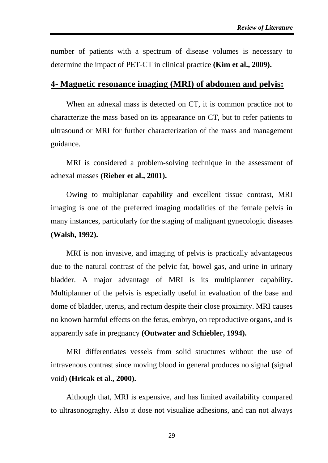number of patients with a spectrum of disease volumes is necessary to determine the impact of PET-CT in clinical practice **(Kim et al., 2009).**

### **4- Magnetic resonance imaging (MRI) of abdomen and pelvis:**

When an adnexal mass is detected on CT, it is common practice not to characterize the mass based on its appearance on CT, but to refer patients to ultrasound or MRI for further characterization of the mass and management guidance.

MRI is considered a problem-solving technique in the assessment of adnexal masses **(Rieber et al., 2001).**

Owing to multiplanar capability and excellent tissue contrast, MRI imaging is one of the preferred imaging modalities of the female pelvis in many instances, particularly for the staging of malignant gynecologic diseases **(Walsh, 1992).**

MRI is non invasive, and imaging of pelvis is practically advantageous due to the natural contrast of the pelvic fat, bowel gas, and urine in urinary bladder. A major advantage of MRI is its multiplanner capability**.** Multiplanner of the pelvis is especially useful in evaluation of the base and dome of bladder, uterus, and rectum despite their close proximity. MRI causes no known harmful effects on the fetus, embryo, on reproductive organs, and is apparently safe in pregnancy **(Outwater and Schiebler, 1994).**

MRI differentiates vessels from solid structures without the use of intravenous contrast since moving blood in general produces no signal (signal void) **(Hricak et al., 2000).**

Although that, MRI is expensive, and has limited availability compared to ultrasonograghy. Also it dose not visualize adhesions, and can not always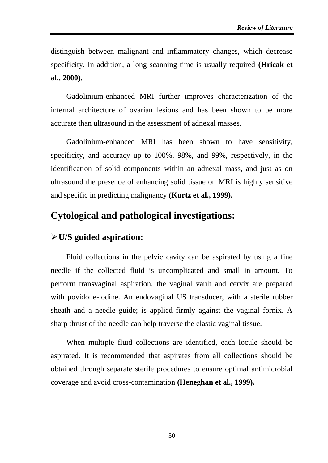distinguish between malignant and inflammatory changes, which decrease specificity. In addition, a long scanning time is usually required **(Hricak et al., 2000).**

Gadolinium-enhanced MRI further improves characterization of the internal architecture of ovarian lesions and has been shown to be more accurate than ultrasound in the assessment of adnexal masses.

Gadolinium-enhanced MRI has been shown to have sensitivity, specificity, and accuracy up to 100%, 98%, and 99%, respectively, in the identification of solid components within an adnexal mass, and just as on ultrasound the presence of enhancing solid tissue on MRI is highly sensitive and specific in predicting malignancy **(Kurtz et al., 1999).**

# **Cytological and pathological investigations:**

# **U/S guided aspiration:**

Fluid collections in the pelvic cavity can be aspirated by using a fine needle if the collected fluid is uncomplicated and small in amount. To perform transvaginal aspiration, the vaginal vault and cervix are prepared with povidone-iodine. An endovaginal US transducer, with a sterile rubber sheath and a needle guide; is applied firmly against the vaginal fornix. A sharp thrust of the needle can help traverse the elastic vaginal tissue.

When multiple fluid collections are identified, each locule should be aspirated. It is recommended that aspirates from all collections should be obtained through separate sterile procedures to ensure optimal antimicrobial coverage and avoid cross-contamination **(Heneghan et al., 1999).**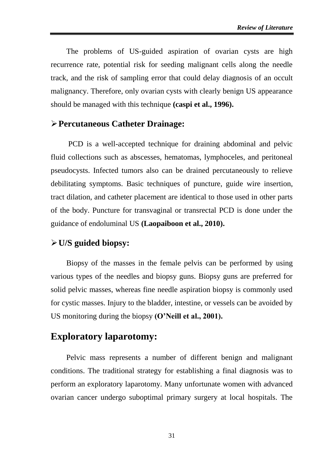The problems of US-guided aspiration of ovarian cysts are high recurrence rate, potential risk for seeding malignant cells along the needle track, and the risk of sampling error that could delay diagnosis of an occult malignancy. Therefore, only ovarian cysts with clearly benign US appearance should be managed with this technique **(caspi et al., 1996).**

# **Percutaneous Catheter Drainage:**

PCD is a well-accepted technique for draining abdominal and pelvic fluid collections such as abscesses, hematomas, lymphoceles, and peritoneal pseudocysts. Infected tumors also can be drained percutaneously to relieve debilitating symptoms. Basic techniques of puncture, guide wire insertion, tract dilation, and catheter placement are identical to those used in other parts of the body. Puncture for transvaginal or transrectal PCD is done under the guidance of endoluminal US **(Laopaiboon et al., 2010).**

## **U/S guided biopsy:**

Biopsy of the masses in the female pelvis can be performed by using various types of the needles and biopsy guns. Biopsy guns are preferred for solid pelvic masses, whereas fine needle aspiration biopsy is commonly used for cystic masses. Injury to the bladder, intestine, or vessels can be avoided by US monitoring during the biopsy **(O'Neill et al., 2001).**

# **Exploratory laparotomy:**

Pelvic mass represents a number of different benign and malignant conditions. The traditional strategy for establishing a final diagnosis was to perform an exploratory laparotomy. Many unfortunate women with advanced ovarian cancer undergo suboptimal primary surgery at local hospitals. The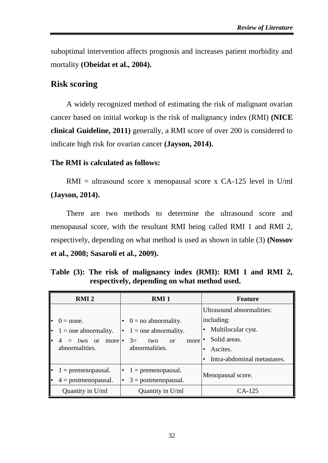suboptimal intervention affects prognosis and increases patient morbidity and mortality **(Obeidat et al., 2004).**

# **Risk scoring**

A widely recognized method of estimating the risk of malignant ovarian cancer based on initial workup is the risk of malignancy index (RMI) **(NICE clinical Guideline, 2011)** generally, a RMI score of over 200 is considered to indicate high risk for ovarian cancer **(Jayson, 2014).**

### **The RMI is calculated as follows:**

 $RMI =$  ultrasound score x menopausal score x CA-125 level in U/ml **(Jayson, 2014).**

There are two methods to determine the ultrasound score and menopausal score, with the resultant RMI being called RMI 1 and RMI 2, respectively, depending on what method is used as shown in table (3) **(Nossov et al., 2008; Sasaroli et al., 2009).**

**Table (3): The risk of malignancy index (RMI): RMI 1 and RMI 2, respectively, depending on what method used.**

| <b>RMI2</b>                  | <b>RMI</b> 1                       | <b>Feature</b>              |  |  |  |
|------------------------------|------------------------------------|-----------------------------|--|--|--|
|                              |                                    | Ultrasound abnormalities:   |  |  |  |
| $0 = none.$                  | $0 =$ no abnormality.              | including:                  |  |  |  |
| $\cdot$ 1 = one abnormality. | $\bullet$ 1 = one abnormality.     | Multilocular cyst.          |  |  |  |
| $4 = two or more$            | $3=$<br>two<br>more<br>$\alpha$    | Solid areas.                |  |  |  |
| abnormalities.               | abnormalities.                     | Ascites.                    |  |  |  |
|                              |                                    | Intra-abdominal metastases. |  |  |  |
| $1 =$ premenopausal.         | $1$ = premenopausal.<br>٠          | Menopausal score.           |  |  |  |
| $4 = postmenopausal.$        | $3 = postmenopausal.$<br>$\bullet$ |                             |  |  |  |
| Quantity in U/ml             | Quantity in U/ml                   | $CA-125$                    |  |  |  |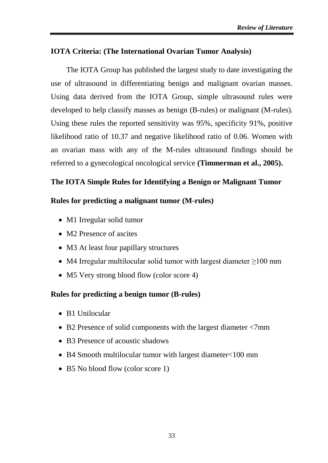# **IOTA Criteria: (The International Ovarian Tumor Analysis)**

The IOTA Group has published the largest study to date investigating the use of ultrasound in differentiating benign and malignant ovarian masses. Using data derived from the IOTA Group, simple ultrasound rules were developed to help classify masses as benign (B-rules) or malignant (M-rules). Using these rules the reported sensitivity was 95%, specificity 91%, positive likelihood ratio of 10.37 and negative likelihood ratio of 0.06. Women with an ovarian mass with any of the M-rules ultrasound findings should be referred to a gynecological oncological service **(Timmerman et al., 2005).**

## **The IOTA Simple Rules for Identifying a Benign or Malignant Tumor**

### **Rules for predicting a malignant tumor (M-rules)**

- M1 Irregular solid tumor
- M2 Presence of ascites
- M3 At least four papillary structures
- M4 Irregular multilocular solid tumor with largest diameter  $\geq 100$  mm
- M5 Very strong blood flow (color score 4)

### **Rules for predicting a benign tumor (B-rules)**

- B1 Unilocular
- B2 Presence of solid components with the largest diameter <7mm
- B3 Presence of acoustic shadows
- B4 Smooth multilocular tumor with largest diameter<100 mm
- B5 No blood flow (color score 1)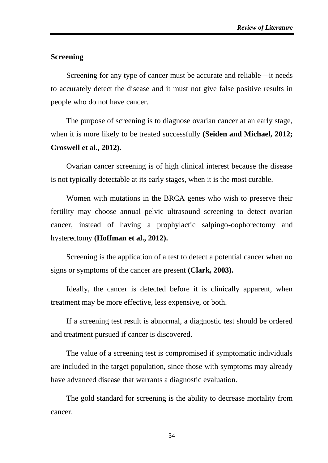#### **Screening**

Screening for any type of cancer must be accurate and reliable—it needs to accurately detect the disease and it must not give false positive results in people who do not have cancer.

The purpose of screening is to diagnose ovarian cancer at an early stage, when it is more likely to be treated successfully **(Seiden and Michael, 2012; Croswell et al., 2012).**

Ovarian cancer screening is of high clinical interest because the disease is not typically detectable at its early stages, when it is the most curable.

Women with mutations in the BRCA genes who wish to preserve their fertility may choose annual pelvic ultrasound screening to detect ovarian cancer, instead of having a prophylactic salpingo-oophorectomy and hysterectomy **(Hoffman et al., 2012).**

Screening is the application of a test to detect a potential cancer when no signs or symptoms of the cancer are present **(Clark, 2003).**

Ideally, the cancer is detected before it is clinically apparent, when treatment may be more effective, less expensive, or both.

If a screening test result is abnormal, a diagnostic test should be ordered and treatment pursued if cancer is discovered.

The value of a screening test is compromised if symptomatic individuals are included in the target population, since those with symptoms may already have advanced disease that warrants a diagnostic evaluation.

The gold standard for screening is the ability to decrease mortality from cancer.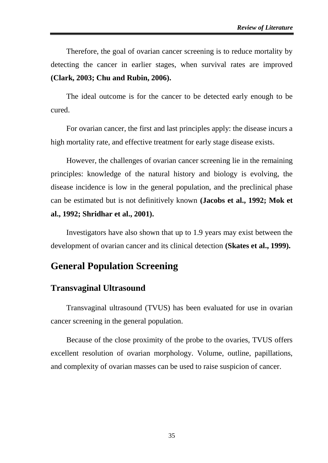Therefore, the goal of ovarian cancer screening is to reduce mortality by detecting the cancer in earlier stages, when survival rates are improved **(Clark, 2003; Chu and Rubin, 2006).**

The ideal outcome is for the cancer to be detected early enough to be cured.

For ovarian cancer, the first and last principles apply: the disease incurs a high mortality rate, and effective treatment for early stage disease exists.

However, the challenges of ovarian cancer screening lie in the remaining principles: knowledge of the natural history and biology is evolving, the disease incidence is low in the general population, and the preclinical phase can be estimated but is not definitively known **(Jacobs et al., 1992; Mok et al., 1992; Shridhar et al., 2001).**

Investigators have also shown that up to 1.9 years may exist between the development of ovarian cancer and its clinical detection **(Skates et al., 1999).**

# **General Population Screening**

# **Transvaginal Ultrasound**

Transvaginal ultrasound (TVUS) has been evaluated for use in ovarian cancer screening in the general population.

Because of the close proximity of the probe to the ovaries, TVUS offers excellent resolution of ovarian morphology. Volume, outline, papillations, and complexity of ovarian masses can be used to raise suspicion of cancer.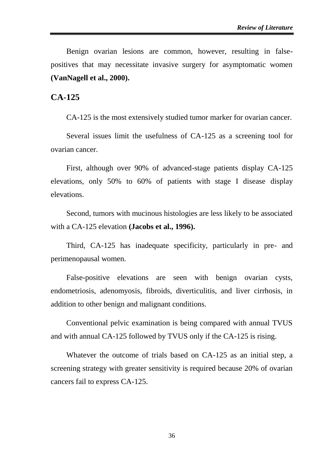Benign ovarian lesions are common, however, resulting in falsepositives that may necessitate invasive surgery for asymptomatic women **(VanNagell et al., 2000).**

### **CA-125**

CA-125 is the most extensively studied tumor marker for ovarian cancer.

Several issues limit the usefulness of CA-125 as a screening tool for ovarian cancer.

First, although over 90% of advanced-stage patients display CA-125 elevations, only 50% to 60% of patients with stage I disease display elevations.

Second, tumors with mucinous histologies are less likely to be associated with a CA-125 elevation **(Jacobs et al., 1996).**

Third, CA-125 has inadequate specificity, particularly in pre- and perimenopausal women.

False-positive elevations are seen with benign ovarian cysts, endometriosis, adenomyosis, fibroids, diverticulitis, and liver cirrhosis, in addition to other benign and malignant conditions.

Conventional pelvic examination is being compared with annual TVUS and with annual CA-125 followed by TVUS only if the CA-125 is rising.

Whatever the outcome of trials based on CA-125 as an initial step, a screening strategy with greater sensitivity is required because 20% of ovarian cancers fail to express CA-125.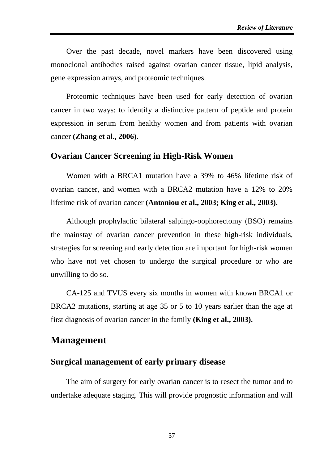Over the past decade, novel markers have been discovered using monoclonal antibodies raised against ovarian cancer tissue, lipid analysis, gene expression arrays, and proteomic techniques.

Proteomic techniques have been used for early detection of ovarian cancer in two ways: to identify a distinctive pattern of peptide and protein expression in serum from healthy women and from patients with ovarian cancer **(Zhang et al., 2006).**

### **Ovarian Cancer Screening in High-Risk Women**

Women with a BRCA1 mutation have a 39% to 46% lifetime risk of ovarian cancer, and women with a BRCA2 mutation have a 12% to 20% lifetime risk of ovarian cancer **(Antoniou et al., 2003; King et al., 2003).**

Although prophylactic bilateral salpingo-oophorectomy (BSO) remains the mainstay of ovarian cancer prevention in these high-risk individuals, strategies for screening and early detection are important for high-risk women who have not yet chosen to undergo the surgical procedure or who are unwilling to do so.

CA-125 and TVUS every six months in women with known BRCA1 or BRCA2 mutations, starting at age 35 or 5 to 10 years earlier than the age at first diagnosis of ovarian cancer in the family **(King et al., 2003).**

# **Management**

### **Surgical management of early primary disease**

The aim of surgery for early ovarian cancer is to resect the tumor and to undertake adequate staging. This will provide prognostic information and will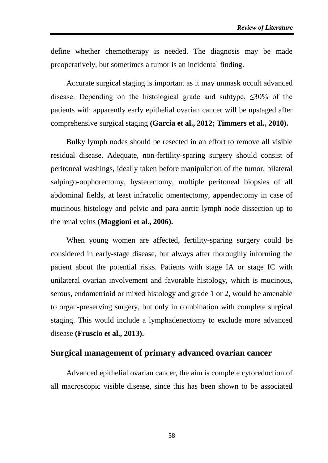define whether chemotherapy is needed. The diagnosis may be made preoperatively, but sometimes a tumor is an incidental finding.

Accurate surgical staging is important as it may unmask occult advanced disease. Depending on the histological grade and subtype,  $\leq 30\%$  of the patients with apparently early epithelial ovarian cancer will be upstaged after comprehensive surgical staging **(Garcia et al., 2012; Timmers et al., 2010).**

Bulky lymph nodes should be resected in an effort to remove all visible residual disease. Adequate, non-fertility-sparing surgery should consist of peritoneal washings, ideally taken before manipulation of the tumor, bilateral salpingo-oophorectomy, hysterectomy, multiple peritoneal biopsies of all abdominal fields, at least infracolic omentectomy, appendectomy in case of mucinous histology and pelvic and para-aortic lymph node dissection up to the renal veins **(Maggioni et al., 2006).**

When young women are affected, fertility-sparing surgery could be considered in early-stage disease, but always after thoroughly informing the patient about the potential risks. Patients with stage IA or stage IC with unilateral ovarian involvement and favorable histology, which is mucinous, serous, endometrioid or mixed histology and grade 1 or 2, would be amenable to organ-preserving surgery, but only in combination with complete surgical staging. This would include a lymphadenectomy to exclude more advanced disease **(Fruscio et al., 2013).**

## **Surgical management of primary advanced ovarian cancer**

Advanced epithelial ovarian cancer, the aim is complete cytoreduction of all macroscopic visible disease, since this has been shown to be associated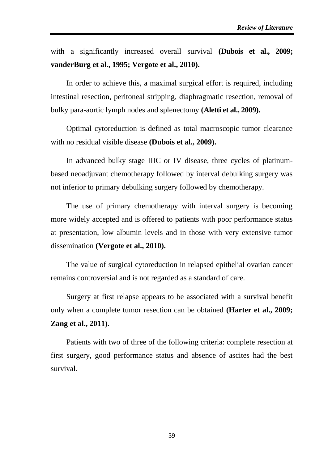with a significantly increased overall survival **(Dubois et al., 2009; vanderBurg et al., 1995; Vergote et al., 2010).**

In order to achieve this, a maximal surgical effort is required, including intestinal resection, peritoneal stripping, diaphragmatic resection, removal of bulky para-aortic lymph nodes and splenectomy **(Aletti et al., 2009).**

Optimal cytoreduction is defined as total macroscopic tumor clearance with no residual visible disease **(Dubois et al., 2009).**

In advanced bulky stage IIIC or IV disease, three cycles of platinumbased neoadjuvant chemotherapy followed by interval debulking surgery was not inferior to primary debulking surgery followed by chemotherapy.

The use of primary chemotherapy with interval surgery is becoming more widely accepted and is offered to patients with poor performance status at presentation, low albumin levels and in those with very extensive tumor dissemination **(Vergote et al., 2010).**

The value of surgical cytoreduction in relapsed epithelial ovarian cancer remains controversial and is not regarded as a standard of care.

Surgery at first relapse appears to be associated with a survival benefit only when a complete tumor resection can be obtained **(Harter et al., 2009; Zang et al., 2011).**

Patients with two of three of the following criteria: complete resection at first surgery, good performance status and absence of ascites had the best survival.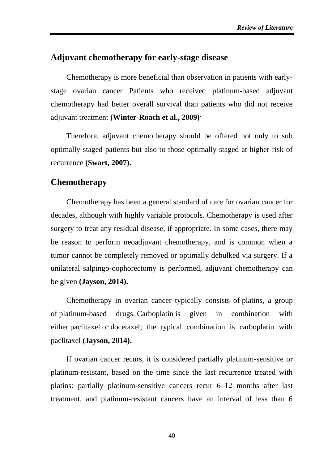## **Adjuvant chemotherapy for early-stage disease**

Chemotherapy is more beneficial than observation in patients with earlystage ovarian cancer Patients who received platinum-based adjuvant chemotherapy had better overall survival than patients who did not receive adjuvant treatment **(Winter-Roach et al., 2009).**

Therefore, adjuvant chemotherapy should be offered not only to sub optimally staged patients but also to those optimally staged at higher risk of recurrence **(Swart, 2007).**

## **Chemotherapy**

Chemotherapy has been a general standard of care for ovarian cancer for decades, although with highly variable protocols. Chemotherapy is used after surgery to treat any residual disease, if appropriate. In some cases, there may be reason to perform neoadjuvant chemotherapy, and is common when a tumor cannot be completely removed or optimally debulked via surgery. If a unilateral salpingo-oophorectomy is performed, adjuvant chemotherapy can be given **(Jayson, 2014).**

Chemotherapy in ovarian cancer typically consists of platins, a group of platinum-based drugs. Carboplatin is given in combination with either paclitaxel or docetaxel; the typical combination is carboplatin with paclitaxel **(Jayson, 2014).**

If ovarian cancer recurs, it is considered partially platinum-sensitive or platinum-resistant, based on the time since the last recurrence treated with platins: partially platinum-sensitive cancers recur 6–12 months after last treatment, and platinum-resistant cancers have an interval of less than 6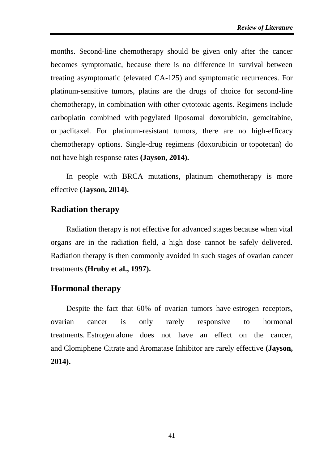months. Second-line chemotherapy should be given only after the cancer becomes symptomatic, because there is no difference in survival between treating asymptomatic (elevated CA-125) and symptomatic recurrences. For platinum-sensitive tumors, platins are the drugs of choice for second-line chemotherapy, in combination with other cytotoxic agents. Regimens include carboplatin combined with pegylated liposomal doxorubicin, gemcitabine, or paclitaxel. For platinum-resistant tumors, there are no high-efficacy chemotherapy options. Single-drug regimens (doxorubicin or topotecan) do not have high response rates **(Jayson, 2014).**

In people with BRCA mutations, platinum chemotherapy is more effective **(Jayson, 2014).**

# **Radiation therapy**

Radiation therapy is not effective for advanced stages because when vital organs are in the radiation field, a high dose cannot be safely delivered. Radiation therapy is then commonly avoided in such stages of ovarian cancer treatments **(Hruby et al., 1997).**

# **Hormonal therapy**

Despite the fact that 60% of ovarian tumors have estrogen receptors, ovarian cancer is only rarely responsive to hormonal treatments. Estrogen alone does not have an effect on the cancer, and Clomiphene Citrate and Aromatase Inhibitor are rarely effective **(Jayson, 2014).**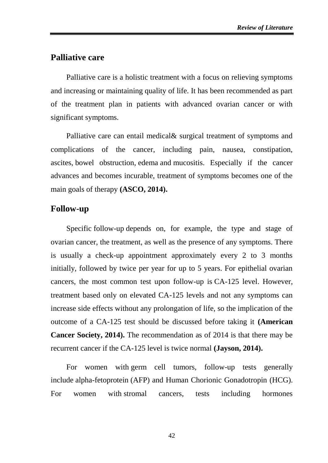# **Palliative care**

Palliative care is a holistic treatment with a focus on relieving symptoms and increasing or maintaining quality of life. It has been recommended as part of the treatment plan in patients with advanced ovarian cancer or with significant symptoms.

Palliative care can entail medical& surgical treatment of symptoms and complications of the cancer, including pain, nausea, constipation, ascites, bowel obstruction, edema and mucositis. Especially if the cancer advances and becomes incurable, treatment of symptoms becomes one of the main goals of therapy **(ASCO, 2014).**

### **Follow-up**

Specific follow-up depends on, for example, the type and stage of ovarian cancer, the treatment, as well as the presence of any symptoms. There is usually a check-up appointment approximately every 2 to 3 months initially, followed by twice per year for up to 5 years. For epithelial ovarian cancers, the most common test upon follow-up is CA-125 level. However, treatment based only on elevated CA-125 levels and not any symptoms can increase side effects without any prolongation of life, so the implication of the outcome of a CA-125 test should be discussed before taking it **(American Cancer Society, 2014).** The recommendation as of 2014 is that there may be recurrent cancer if the CA-125 level is twice normal **(Jayson, 2014).**

For women with germ cell tumors, follow-up tests generally include alpha-fetoprotein (AFP) and Human Chorionic Gonadotropin (HCG). For women with stromal cancers, tests including hormones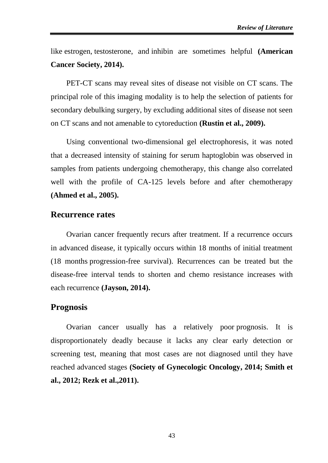like estrogen, testosterone, and inhibin are sometimes helpful **(American Cancer Society, 2014).**

PET-CT scans may reveal sites of disease not visible on CT scans. The principal role of this imaging modality is to help the selection of patients for secondary debulking surgery, by excluding additional sites of disease not seen on CT scans and not amenable to cytoreduction **(Rustin et al., 2009).**

Using conventional two-dimensional gel electrophoresis, it was noted that a decreased intensity of staining for serum haptoglobin was observed in samples from patients undergoing chemotherapy, this change also correlated well with the profile of CA-125 levels before and after chemotherapy **(Ahmed et al., 2005).**

#### **Recurrence rates**

Ovarian cancer frequently recurs after treatment. If a recurrence occurs in advanced disease, it typically occurs within 18 months of initial treatment (18 months progression-free survival). Recurrences can be treated but the disease-free interval tends to shorten and chemo resistance increases with each recurrence **(Jayson, 2014).**

### **Prognosis**

Ovarian cancer usually has a relatively poor prognosis. It is disproportionately deadly because it lacks any clear early detection or screening test, meaning that most cases are not diagnosed until they have reached advanced stages **[\(Society of Gynecologic Oncology,](https://en.wikipedia.org/wiki/Society_of_Gynecologic_Oncology) 2014; Smith et al., 2012; Rezk et al.,2011).**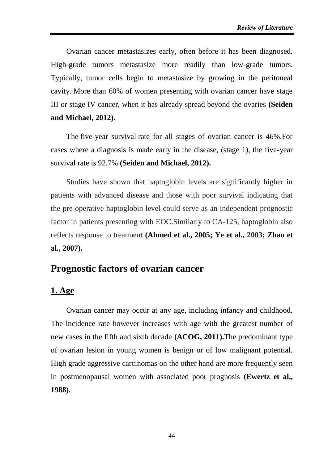Ovarian cancer metastasizes early, often before it has been diagnosed. High-grade tumors metastasize more readily than low-grade tumors. Typically, tumor cells begin to metastasize by growing in the peritoneal cavity. More than 60% of women presenting with ovarian cancer have stage III or stage IV cancer, when it has already spread beyond the ovaries **(Seiden and Michael, 2012).**

The five-year survival rate for all stages of ovarian cancer is 46%.For cases where a diagnosis is made early in the disease, (stage 1), the five-year survival rate is 92.7% **(Seiden and Michael, 2012).**

Studies have shown that haptoglobin levels are significantly higher in patients with advanced disease and those with poor survival indicating that the pre-operative haptoglobin level could serve as an independent prognostic factor in patients presenting with EOC.Similarly to CA-125, haptoglobin also reflects response to treatment **(Ahmed et al., 2005; Ye et al., 2003; [Zhao](http://www.ncbi.nlm.nih.gov/sites/entrez?Db=pubmed&Cmd=Search&Term=%22Zhao%20C%22%5BAuthor%5D&itool=EntrezSystem2.PEntrez.Pubmed.Pubmed_ResultsPanel.Pubmed_DiscoveryPanel.Pubmed_RVAbstractPlus) et al., 2007).**

# **Prognostic factors of ovarian cancer**

### **1. Age**

Ovarian cancer may occur at any age, including infancy and childhood. The incidence rate however increases with age with the greatest number of new cases in the fifth and sixth decade **(ACOG, 2011).**The predominant type of ovarian lesion in young women is benign or of low malignant potential. High grade aggressive carcinomas on the other hand are more frequently seen in postmenopausal women with associated poor prognosis **(Ewertz et al., 1988).**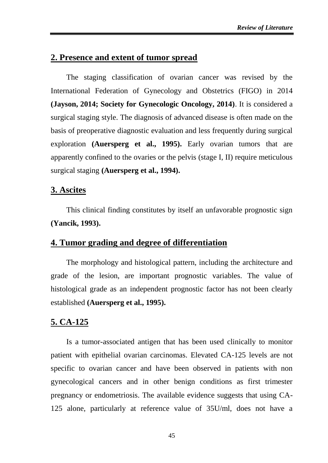# **2. Presence and extent of tumor spread**

The staging classification of ovarian cancer was revised by the International Federation of Gynecology and Obstetrics (FIGO) in 2014 **(Jayson, 2014; Society for Gynecologic Oncology, 2014)**. It is considered a surgical staging style. The diagnosis of advanced disease is often made on the basis of preoperative diagnostic evaluation and less frequently during surgical exploration **(Auersperg et al., 1995).** Early ovarian tumors that are apparently confined to the ovaries or the pelvis (stage I, II) require meticulous surgical staging **(Auersperg et al., 1994).**

### **3. Ascites**

This clinical finding constitutes by itself an unfavorable prognostic sign **(Yancik, 1993).**

### **4. Tumor grading and degree of differentiation**

The morphology and histological pattern, including the architecture and grade of the lesion, are important prognostic variables. The value of histological grade as an independent prognostic factor has not been clearly established **(Auersperg et al., 1995).**

### **5. CA-125**

Is a tumor-associated antigen that has been used clinically to monitor patient with epithelial ovarian carcinomas. Elevated CA-125 levels are not specific to ovarian cancer and have been observed in patients with non gynecological cancers and in other benign conditions as first trimester pregnancy or endometriosis. The available evidence suggests that using CA-125 alone, particularly at reference value of 35U/ml, does not have a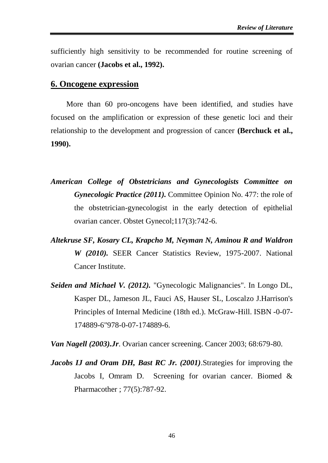sufficiently high sensitivity to be recommended for routine screening of ovarian cancer **(Jacobs et al., 1992).**

### **6. Oncogene expression**

More than 60 pro-oncogens have been identified, and studies have focused on the amplification or expression of these genetic loci and their relationship to the development and progression of cancer **(Berchuck et al., 1990).**

- *American College of Obstetricians and Gynecologists Committee on Gynecologic Practice (2011).* Committee Opinion No. 477: the role of the obstetrician-gynecologist in the early detection of epithelial ovarian cancer. Obstet Gynecol;117(3):742-6.
- *Altekruse SF, Kosary CL, Krapcho M, Neyman N, Aminou R and Waldron W (2010).* SEER Cancer Statistics Review, 1975-2007. National Cancer Institute.
- *Seiden and Michael V. (2012).* "Gynecologic Malignancies". In Longo DL, Kasper DL, Jameson JL, Fauci AS, Hauser SL, Loscalzo J[.Harrison's](http://en.wikipedia.org/wiki/Harrison%27s_Principles_of_Internal_Medicine)  [Principles of Internal Medicine](http://en.wikipedia.org/wiki/Harrison%27s_Principles_of_Internal_Medicine) (18th ed.). McGraw-Hill. [ISBN](http://en.wikipedia.org/wiki/International_Standard_Book_Number) [-0-](file:///C:/Users/geek/Desktop/0)[07-](file:///C:/Users/geek/Desktop/07) [174889](file:///C:/Users/geek/Desktop/174889)[-6"978-0-07-174889-6.](file:///C:/Users/geek/Desktop/6%22978-0-07-174889-6)

*Van Nagell (2003).Jr*. Ovarian cancer screening. Cancer 2003; 68:679-80.

*Jacobs IJ and Oram DH, Bast RC Jr. (2001)*.Strategies for improving the Jacobs I, Omram D. Screening for ovarian cancer. Biomed & Pharmacother ; 77(5):787-92.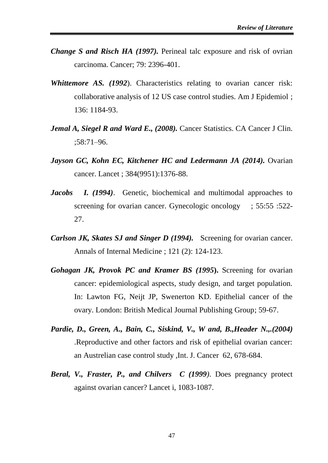- *Change S and Risch HA (1997).* Perineal talc exposure and risk of ovrian carcinoma. Cancer; 79: 2396-401.
- *Whittemore AS. (1992*). Characteristics relating to ovarian cancer risk: collaborative analysis of 12 US case control studies. Am J Epidemiol ; 136: 1184-93.
- *Jemal A, Siegel R and Ward E., (2008).* Cancer Statistics. CA Cancer J Clin. ;58:71–96.
- *Jayson GC, Kohn EC, Kitchener HC and Ledermann JA (2014).* Ovarian cancer. Lancet ; 384(9951):1376-88.
- *Jacobs I. (1994)*. Genetic, biochemical and multimodal approaches to screening for ovarian cancer. Gynecologic oncology ; 55:55 :522-27.
- *Carlson JK, Skates SJ and Singer D (1994).* Screening for ovarian cancer. Annals of Internal Medicine ; 121 (2): 124-123.
- *Gohagan JK, Provok PC and Kramer BS (1995***).** Screening for ovarian cancer: epidemiological aspects, study design, and target population. In: Lawton FG, Neijt JP, Swenerton KD. Epithelial cancer of the ovary. London: British Medical Journal Publishing Group; 59-67.
- *Pardie, D., Green, A., Bain, C., Siskind, V., W and, B.,Header N.,.(2004)* .Reproductive and other factors and risk of epithelial ovarian cancer: an Austrelian case control study ,Int. J. Cancer 62, 678-684.
- *Beral, V., Fraster, P., and Chilvers C (1999)*. Does pregnancy protect against ovarian cancer? Lancet i, 1083-1087.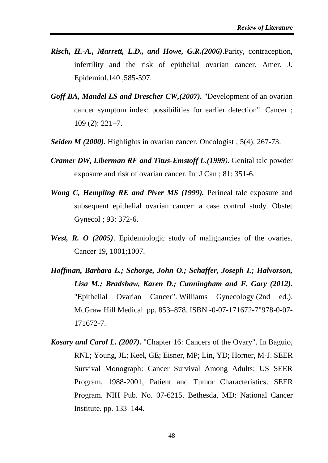- *Risch, H.-A., Marrett, L.D., and Howe, G.R.(2006)*.Parity, contraception, infertility and the risk of epithelial ovarian cancer. Amer. J. Epidemiol.140 ,585-597.
- *Goff BA, Mandel LS and Drescher CW,(2007).* "Development of an ovarian cancer symptom index: possibilities for earlier detection". Cancer ; 109 (2): 221–7.
- *Seiden M (2000).* Highlights in ovarian cancer. Oncologist ; 5(4): 267-73.
- *Cramer DW, Liberman RF and Titus-Emstoff L.(1999).* Genital talc powder exposure and risk of ovarian cancer. Int J Can ; 81: 351-6.
- *Wong C, Hempling RE and Piver MS (1999).* Perineal talc exposure and subsequent epithelial ovarian cancer: a case control study. Obstet Gynecol ; 93: 372-6.
- *West, R. O (2005)*. Epidemiologic study of malignancies of the ovaries. Cancer 19, 1001;1007.
- *Hoffman, Barbara L.; Schorge, John O.; Schaffer, Joseph I.; Halvorson, Lisa M.; Bradshaw, Karen D.; Cunningham and F. Gary (2012).* "Epithelial Ovarian Cancer". Williams Gynecology (2nd ed.). McGraw Hill Medical. pp. 853–878. [ISBN](https://en.wikipedia.org/wiki/International_Standard_Book_Number) [-0-](file:///C:/Users/geek/Desktop/0)[07-](file:///C:/Users/geek/Desktop/07)[171672-](file:///C:/Users/geek/Desktop/171672)[7"978-0-07-](file:///C:/Users/geek/Desktop/7%22978-0-07-171672-7) [171672-7.](file:///C:/Users/geek/Desktop/7%22978-0-07-171672-7)
- *Kosary and Carol L. (2007).* ["Chapter 16: Cancers of the Ovary".](http://seer.cancer.gov/publications/survival/surv_ovary.pdf) In Baguio, RNL; Young, JL; Keel, GE; Eisner, MP; Lin, YD; Horner, M-J. [SEER](http://seer.cancer.gov/publications/survival/)  [Survival Monograph: Cancer Survival Among Adults: US SEER](http://seer.cancer.gov/publications/survival/)  [Program, 1988-2001, Patient and Tumor Characteristics.](http://seer.cancer.gov/publications/survival/) SEER Program. NIH Pub. No. 07-6215. Bethesda, MD: National Cancer Institute. pp. 133–144.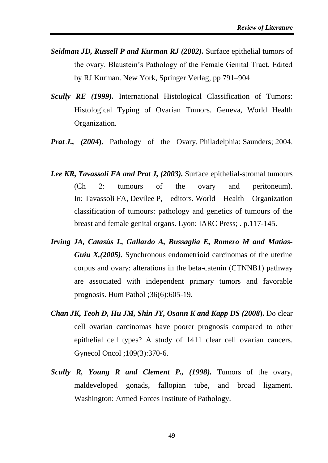- *Seidman JD, Russell P and Kurman RJ (2002).* Surface epithelial tumors of the ovary. Blaustein's Pathology of the Female Genital Tract. Edited by RJ Kurman. New York, Springer Verlag, pp 791–904
- *Scully RE (1999).* International Histological Classification of Tumors: Histological Typing of Ovarian Tumors. Geneva, World Health Organization.
- *Prat J., (2004***).** Pathology of the Ovary. Philadelphia: Saunders; 2004.
- *Lee KR, Tavassoli FA and Prat J, (2003).* Surface epithelial-stromal tumours (Ch 2: tumours of the ovary and peritoneum). In: Tavassoli FA, Devilee P, editors. World Health Organization classification of tumours: pathology and genetics of tumours of the breast and female genital organs. Lyon: IARC Press; . p.117-145.
- *Irving JA, Catasús L, Gallardo A, Bussaglia E, Romero M and Matias-Guiu X,(2005).* Synchronous endometrioid carcinomas of the uterine corpus and ovary: alterations in the beta-catenin (CTNNB1) pathway are associated with independent primary tumors and favorable prognosis. Hum Pathol ;36(6):605-19.
- *Chan JK, Teoh D, Hu JM, Shin JY, Osann K and Kapp DS (2008***).** Do clear cell ovarian carcinomas have poorer prognosis compared to other epithelial cell types? A study of 1411 clear cell ovarian cancers. Gynecol Oncol ;109(3):370-6.
- *Scully R, Young R and Clement P., (1998).* Tumors of the ovary, maldeveloped gonads, fallopian tube, and broad ligament. Washington: Armed Forces Institute of Pathology.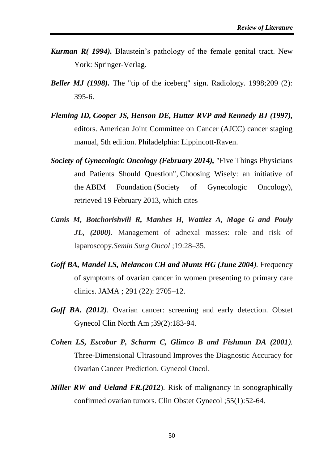- *Kurman R( 1994).* Blaustein's pathology of the female genital tract. New York: Springer-Verlag.
- *Beller MJ (1998).* The "tip of the iceberg" sign. Radiology. 1998;209 (2): 395-6.
- *Fleming ID, Cooper JS, Henson DE, Hutter RVP and Kennedy BJ (1997),* editors. American Joint Committee on Cancer (AJCC) cancer staging manual, 5th edition. Philadelphia: Lippincott-Raven.
- *[Society of Gynecologic Oncology](https://en.wikipedia.org/wiki/Society_of_Gynecologic_Oncology) (February 2014),* ["Five Things Physicians](http://www.choosingwisely.org/doctor-patient-lists/society-of-gynecologic-oncology/)  [and Patients Should Question",](http://www.choosingwisely.org/doctor-patient-lists/society-of-gynecologic-oncology/) [Choosing Wisely:](https://en.wikipedia.org/wiki/Choosing_Wisely) an initiative of the [ABIM Foundation](https://en.wikipedia.org/wiki/ABIM_Foundation) (Society of Gynecologic Oncology), retrieved 19 February 2013, which cites
- *Canis M, Botchorishvili R, Manhes H, Wattiez A, Mage G and Pouly JL, (2000).* Management of adnexal masses: role and risk of laparoscopy.*Semin Surg Oncol* ;19:28–35.
- *Goff BA, Mandel LS, Melancon CH and Muntz HG (June 2004).* Frequency of symptoms of ovarian cancer in women presenting to primary care clinics. JAMA ; 291 (22): 2705–12.
- *Goff BA. (2012)*. Ovarian cancer: screening and early detection. Obstet Gynecol Clin North Am ;39(2):183-94.
- *Cohen LS, Escobar P, Scharm C, Glimco B and Fishman DA (2001).* Three-Dimensional Ultrasound Improves the Diagnostic Accuracy for Ovarian Cancer Prediction. Gynecol Oncol.
- *Miller RW and Ueland FR.(2012*). Risk of malignancy in sonographically confirmed ovarian tumors. Clin Obstet Gynecol ;55(1):52-64.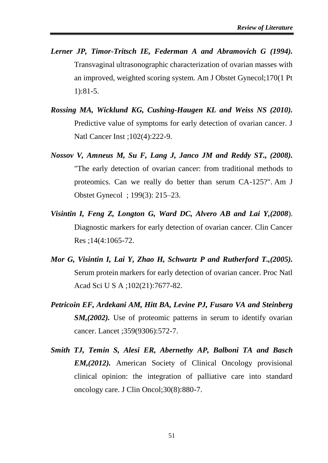- *Lerner JP, Timor-Tritsch IE, Federman A and Abramovich G (1994).* Transvaginal ultrasonographic characterization of ovarian masses with an improved, weighted scoring system. Am J Obstet Gynecol;170(1 Pt 1):81-5.
- *Rossing MA, Wicklund KG, Cushing-Haugen KL and Weiss NS (2010).* Predictive value of symptoms for early detection of ovarian cancer. J Natl Cancer Inst ;102(4):222-9.
- *Nossov V, Amneus M, Su F, Lang J, Janco JM and Reddy ST., (2008).* "The early detection of ovarian cancer: from traditional methods to proteomics. Can we really do better than serum CA-125?". Am J Obstet Gynecol ; 199(3): 215–23.
- *Visintin I, Feng Z, Longton G, Ward DC, Alvero AB and Lai Y,(2008*). Diagnostic markers for early detection of ovarian cancer. Clin Cancer Res ;14(4:1065-72.
- *Mor G, Visintin I, Lai Y, Zhao H, Schwartz P and Rutherford T.,(2005).* Serum protein markers for early detection of ovarian cancer. Proc Natl Acad Sci U S A ;102(21):7677-82.
- *Petricoin EF, Ardekani AM, Hitt BA, Levine PJ, Fusaro VA and Steinberg SM,(2002).* Use of proteomic patterns in serum to identify ovarian cancer. Lancet ;359(9306):572-7.
- *Smith TJ, Temin S, Alesi ER, Abernethy AP, Balboni TA and Basch EM,(2012).* American Society of Clinical Oncology provisional clinical opinion: the integration of palliative care into standard oncology care. J Clin Oncol;30(8):880-7.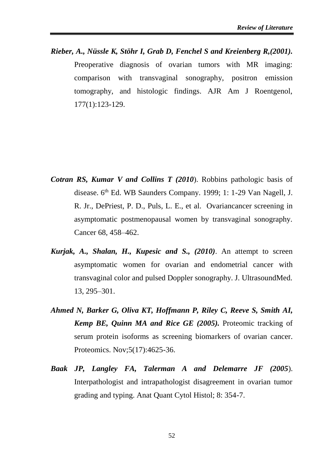*Rieber, A., Nüssle K, Stöhr I, Grab D, Fenchel S and Kreienberg R,(2001).* Preoperative diagnosis of ovarian tumors with MR imaging: comparison with transvaginal sonography, positron emission tomography, and histologic findings. AJR Am J Roentgenol, 177(1):123-129.

- *Cotran RS, Kumar V and Collins T (2010*). Robbins pathologic basis of disease. 6<sup>th</sup> Ed. WB Saunders Company. 1999; 1: 1-29 Van Nagell, J. R. Jr., DePriest, P. D., Puls, L. E., et al. Ovariancancer screening in asymptomatic postmenopausal women by transvaginal sonography. Cancer 68, 458–462.
- *Kurjak, A., Shalan, H., Kupesic and S., (2010)*. An attempt to screen asymptomatic women for ovarian and endometrial cancer with transvaginal color and pulsed Doppler sonography. J. UltrasoundMed. 13, 295–301.
- *Ahmed N, Barker G, Oliva KT, Hoffmann P, Riley C, Reeve S, Smith AI, Kemp BE, Quinn MA and Rice GE (2005).* Proteomic tracking of serum protein isoforms as screening biomarkers of ovarian cancer. Proteomics. Nov;5(17):4625-36.
- *Baak JP, Langley FA, Talerman A and Delemarre JF (2005*). Interpathologist and intrapathologist disagreement in ovarian tumor grading and typing. Anat Quant Cytol Histol; 8: 354-7.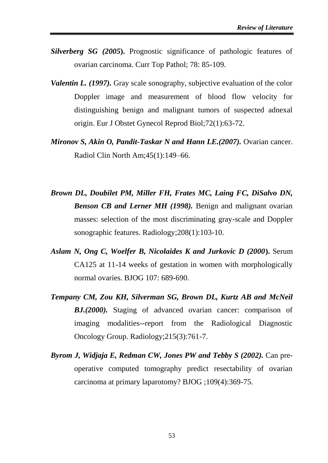- *Silverberg SG (2005***).** Prognostic significance of pathologic features of ovarian carcinoma. Curr Top Pathol; 78: 85-109.
- *Valentin L. (1997).* Gray scale sonography, subjective evaluation of the color Doppler image and measurement of blood flow velocity for distinguishing benign and malignant tumors of suspected adnexal origin. Eur J Obstet Gynecol Reprod Biol;72(1):63-72.
- *Mironov S, Akin O, Pandit-Taskar N and Hann LE.(2007).* Ovarian cancer. Radiol Clin North Am;45(1):149–66.
- *Brown DL, Doubilet PM, Miller FH, Frates MC, Laing FC, DiSalvo DN, Benson CB and Lerner MH (1998).* Benign and malignant ovarian masses: selection of the most discriminating gray-scale and Doppler sonographic features. Radiology;208(1):103-10.
- *Aslam N, Ong C, Woelfer B, Nicolaides K and Jurkovic D (2000***).** Serum CA125 at 11-14 weeks of gestation in women with morphologically normal ovaries. BJOG 107: 689-690.
- *Tempany CM, Zou KH, Silverman SG, Brown DL, Kurtz AB and McNeil BJ.(2000).* Staging of advanced ovarian cancer: comparison of imaging modalities--report from the Radiological Diagnostic Oncology Group. Radiology;215(3):761-7.
- *Byrom J, Widjaja E, Redman CW, Jones PW and Tebby S (2002).* Can preoperative computed tomography predict resectability of ovarian carcinoma at primary laparotomy? BJOG ;109(4):369-75.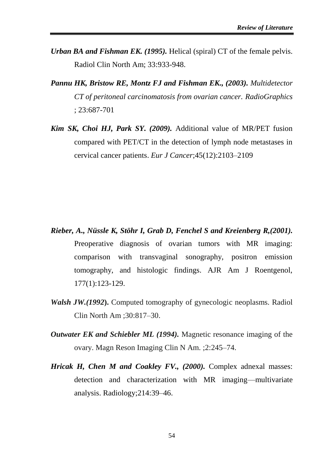- *Urban BA and Fishman EK. (1995).* Helical (spiral) CT of the female pelvis. Radiol Clin North Am; 33:933-948.
- *Pannu HK, Bristow RE, Montz FJ and Fishman EK., (2003). Multidetector CT of peritoneal carcinomatosis from ovarian cancer. RadioGraphics* ; 23:687-701
- *Kim SK, Choi HJ, Park SY. (2009).* Additional value of MR/PET fusion compared with PET/CT in the detection of lymph node metastases in cervical cancer patients. *Eur J Cancer*;45(12):2103–2109

- *Rieber, A., Nüssle K, Stöhr I, Grab D, Fenchel S and Kreienberg R,(2001).* Preoperative diagnosis of ovarian tumors with MR imaging: comparison with transvaginal sonography, positron emission tomography, and histologic findings. AJR Am J Roentgenol, 177(1):123-129.
- *Walsh JW.(1992***).** Computed tomography of gynecologic neoplasms. Radiol Clin North Am ;30:817–30.
- *Outwater EK and Schiebler ML (1994).* Magnetic resonance imaging of the ovary. Magn Reson Imaging Clin N Am. ;2:245–74.
- *Hricak H, Chen M and Coakley FV., (2000).* Complex adnexal masses: detection and characterization with MR imaging—multivariate analysis. Radiology;214:39–46.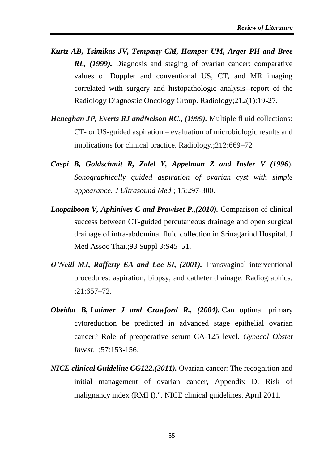- *Kurtz AB, Tsimikas JV, Tempany CM, Hamper UM, Arger PH and Bree RL, (1999).* Diagnosis and staging of ovarian cancer: comparative values of Doppler and conventional US, CT, and MR imaging correlated with surgery and histopathologic analysis--report of the Radiology Diagnostic Oncology Group. Radiology;212(1):19-27.
- *Heneghan JP, Everts RJ andNelson RC., (1999).* Multiple fl uid collections: CT- or US-guided aspiration – evaluation of microbiologic results and implications for clinical practice. Radiology.;212:669–72
- *Caspi B, Goldschmit R, Zalel Y, Appelman Z and Insler V (1996*). *Sonographically guided aspiration of ovarian cyst with simple appearance. J Ultrasound Med* ; 15:297-300.
- *Laopaiboon V, Aphinives C and Prawiset P.,(2010).* Comparison of clinical success between CT-guided percutaneous drainage and open surgical drainage of intra-abdominal fluid collection in Srinagarind Hospital. J Med Assoc Thai.;93 Suppl 3:S45–51.
- *O'Neill MJ, Rafferty EA and Lee SI, (2001).* Transvaginal interventional procedures: aspiration, biopsy, and catheter drainage. Radiographics. ;21:657–72.
- *Obeidat B, Latimer J and Crawford R., (2004).* Can optimal primary cytoreduction be predicted in advanced stage epithelial ovarian cancer? Role of preoperative serum CA-125 level. *Gynecol Obstet Invest*. ;57:153-156.
- *NICE clinical Guideline CG122.(2011).* Ovarian cancer: The recognition and initial management of ovarian cancer, Appendix D: Risk of malignancy index (RMI I).". NICE clinical guidelines. April 2011.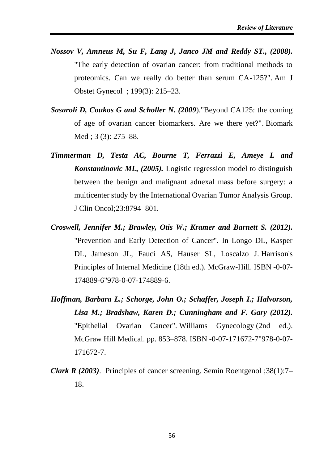- *Nossov V, Amneus M, Su F, Lang J, Janco JM and Reddy ST., (2008).* "The early detection of ovarian cancer: from traditional methods to proteomics. Can we really do better than serum CA-125?". Am J Obstet Gynecol ; 199(3): 215–23.
- *Sasaroli D, Coukos G and Scholler N. (2009*)[."Beyond CA125: the coming](https://www.ncbi.nlm.nih.gov/pmc/articles/PMC2726755)  [of age of ovarian cancer biomarkers. Are we there yet?".](https://www.ncbi.nlm.nih.gov/pmc/articles/PMC2726755) Biomark Med ; 3 (3): 275–88.
- *Timmerman D, Testa AC, Bourne T, Ferrazzi E, Ameye L and Konstantinovic ML, (2005).* Logistic regression model to distinguish between the benign and malignant adnexal mass before surgery: a multicenter study by the International Ovarian Tumor Analysis Group. J Clin Oncol;23:8794–801.
- *Croswell, Jennifer M.; Brawley, Otis W.; Kramer and Barnett S. (2012).* "Prevention and Early Detection of Cancer". In Longo DL, Kasper DL, Jameson JL, Fauci AS, Hauser SL, Loscalzo J. [Harrison's](https://en.wikipedia.org/wiki/Harrison%27s_Principles_of_Internal_Medicine)  [Principles of Internal Medicine](https://en.wikipedia.org/wiki/Harrison%27s_Principles_of_Internal_Medicine) (18th ed.). McGraw-Hill. [ISBN](https://en.wikipedia.org/wiki/International_Standard_Book_Number) [-0-](file:///C:/Users/geek/Desktop/0)[07-](file:///C:/Users/geek/Desktop/07) [174889](file:///C:/Users/geek/Desktop/174889)[-6"978-0-07-174889-6.](file:///C:/Users/geek/Desktop/6%22978-0-07-174889-6)
- *Hoffman, Barbara L.; Schorge, John O.; Schaffer, Joseph I.; Halvorson, Lisa M.; Bradshaw, Karen D.; Cunningham and F. Gary (2012).* "Epithelial Ovarian Cancer". Williams Gynecology (2nd ed.). McGraw Hill Medical. pp. 853–878. [ISBN](https://en.wikipedia.org/wiki/International_Standard_Book_Number) [-0-](file:///C:/Users/geek/Desktop/0)[07-](file:///C:/Users/geek/Desktop/07)[171672-](file:///C:/Users/geek/Desktop/171672)[7"978-0-07-](file:///C:/Users/geek/Desktop/7%22978-0-07-171672-7) [171672-7.](file:///C:/Users/geek/Desktop/7%22978-0-07-171672-7)
- *Clark R (2003)*. Principles of cancer screening. Semin Roentgenol ;38(1):7– 18.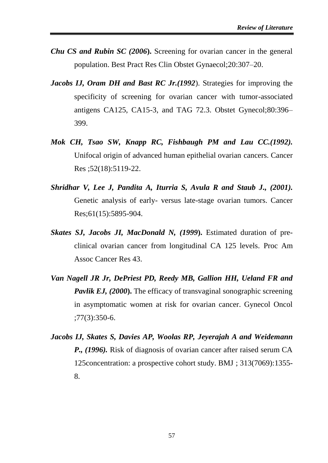- *Chu CS and Rubin SC (2006***).** Screening for ovarian cancer in the general population. Best Pract Res Clin Obstet Gynaecol;20:307–20.
- *Jacobs IJ, Oram DH and Bast RC Jr.(1992*). Strategies for improving the specificity of screening for ovarian cancer with tumor-associated antigens CA125, CA15-3, and TAG 72.3. Obstet Gynecol;80:396– 399.
- *Mok CH, Tsao SW, Knapp RC, Fishbaugh PM and Lau CC.(1992).* Unifocal origin of advanced human epithelial ovarian cancers. Cancer Res ;52(18):5119-22.
- *Shridhar V, Lee J, Pandita A, Iturria S, Avula R and Staub J., (2001).* Genetic analysis of early- versus late-stage ovarian tumors. Cancer Res;61(15):5895-904.
- *Skates SJ, Jacobs JI, MacDonald N, (1999***).** Estimated duration of preclinical ovarian cancer from longitudinal CA 125 levels. Proc Am Assoc Cancer Res 43.
- *Van Nagell JR Jr, DePriest PD, Reedy MB, Gallion HH, Ueland FR and Pavlik EJ, (2000)*. The efficacy of transvaginal sonographic screening in asymptomatic women at risk for ovarian cancer. Gynecol Oncol ;77(3):350-6.
- *Jacobs IJ, Skates S, Davies AP, Woolas RP, Jeyerajah A and Weidemann P., (1996).* Risk of diagnosis of ovarian cancer after raised serum CA 125concentration: a prospective cohort study. BMJ ; 313(7069):1355- 8.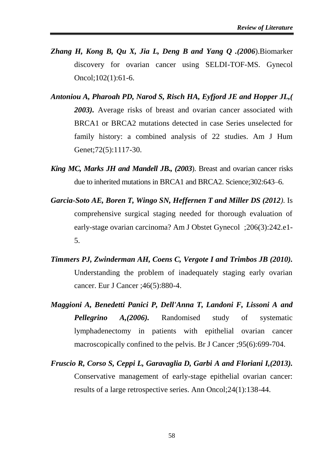- *Zhang H, Kong B, Qu X, Jia L, Deng B and Yang Q .(2006*).Biomarker discovery for ovarian cancer using SELDI-TOF-MS. Gynecol Oncol;102(1):61-6.
- *Antoniou A, Pharoah PD, Narod S, Risch HA, Eyfjord JE and Hopper JL,( 2003).* Average risks of breast and ovarian cancer associated with BRCA1 or BRCA2 mutations detected in case Series unselected for family history: a combined analysis of 22 studies. Am J Hum Genet;72(5):1117-30.
- *King MC, Marks JH and Mandell JB., (2003*). Breast and ovarian cancer risks due to inherited mutations in BRCA1 and BRCA2. Science;302:643–6.
- *Garcia-Soto AE, Boren T, Wingo SN, Heffernen T and Miller DS (2012).* Is comprehensive surgical staging needed for thorough evaluation of early-stage ovarian carcinoma? Am J Obstet Gynecol ;206(3):242.e1- 5.
- *Timmers PJ, Zwinderman AH, Coens C, Vergote I and Trimbos JB (2010).* Understanding the problem of inadequately staging early ovarian cancer. Eur J Cancer ;46(5):880-4.
- *Maggioni A, Benedetti Panici P, Dell'Anna T, Landoni F, Lissoni A and Pellegrino A,(2006).* Randomised study of systematic lymphadenectomy in patients with epithelial ovarian cancer macroscopically confined to the pelvis. Br J Cancer ;95(6):699-704.
- *Fruscio R, Corso S, Ceppi L, Garavaglia D, Garbi A and Floriani I,(2013).* Conservative management of early-stage epithelial ovarian cancer: results of a large retrospective series. Ann Oncol;24(1):138-44.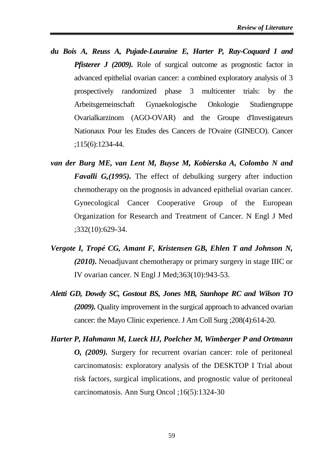- *du Bois A, Reuss A, Pujade-Lauraine E, Harter P, Ray-Coquard I and Pfisterer J (2009).* Role of surgical outcome as prognostic factor in advanced epithelial ovarian cancer: a combined exploratory analysis of 3 prospectively randomized phase 3 multicenter trials: by the Arbeitsgemeinschaft Gynaekologische Onkologie Studiengruppe Ovarialkarzinom (AGO-OVAR) and the Groupe d'Investigateurs Nationaux Pour les Etudes des Cancers de l'Ovaire (GINECO). Cancer ;115(6):1234-44.
- *van der Burg ME, van Lent M, Buyse M, Kobierska A, Colombo N and Favalli G,(1995).* The effect of debulking surgery after induction chemotherapy on the prognosis in advanced epithelial ovarian cancer. Gynecological Cancer Cooperative Group of the European Organization for Research and Treatment of Cancer. N Engl J Med ;332(10):629-34.
- *Vergote I, Tropé CG, Amant F, Kristensen GB, Ehlen T and Johnson N, (2010).* Neoadjuvant chemotherapy or primary surgery in stage IIIC or IV ovarian cancer. N Engl J Med;363(10):943-53.
- *Aletti GD, Dowdy SC, Gostout BS, Jones MB, Stanhope RC and Wilson TO (2009).* Quality improvement in the surgical approach to advanced ovarian cancer: the Mayo Clinic experience. J Am Coll Surg ;208(4):614-20.
- *Harter P, Hahmann M, Lueck HJ, Poelcher M, Wimberger P and Ortmann O, (2009).* Surgery for recurrent ovarian cancer: role of peritoneal carcinomatosis: exploratory analysis of the DESKTOP I Trial about risk factors, surgical implications, and prognostic value of peritoneal carcinomatosis. Ann Surg Oncol ;16(5):1324-30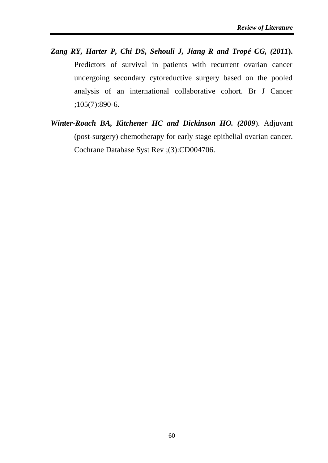- *Zang RY, Harter P, Chi DS, Sehouli J, Jiang R and Tropé CG, (2011***).** Predictors of survival in patients with recurrent ovarian cancer undergoing secondary cytoreductive surgery based on the pooled analysis of an international collaborative cohort. Br J Cancer ;105(7):890-6.
- *Winter-Roach BA, Kitchener HC and Dickinson HO. (2009*). Adjuvant (post-surgery) chemotherapy for early stage epithelial ovarian cancer. Cochrane Database Syst Rev ;(3):CD004706.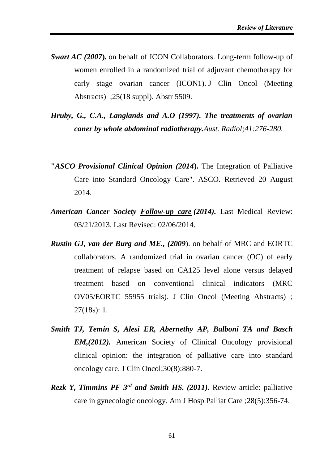- *Swart AC (2007***).** on behalf of ICON Collaborators. Long-term follow-up of women enrolled in a randomized trial of adjuvant chemotherapy for early stage ovarian cancer (ICON1). J Clin Oncol (Meeting Abstracts) ;25(18 suppl). Abstr 5509.
- *Hruby, G., C.A., Langlands and A.O (1997). The treatments of ovarian caner by whole abdominal radiotherapy.Aust. Radiol;41:276-280.*
- **"***ASCO Provisional Clinical Opinion (2014***).** The Integration of Palliative Care into Standard Oncology Care". ASCO. Retrieved 20 August 2014.
- *American Cancer Society [Follow-up care](http://www.cancer.org/cancer/ovariancancer/detailedguide/ovarian-cancer-after-follow-up) (2014).* Last Medical Review: 03/21/2013. Last Revised: 02/06/2014.
- *Rustin GJ, van der Burg and ME., (2009*). on behalf of MRC and EORTC collaborators. A randomized trial in ovarian cancer (OC) of early treatment of relapse based on CA125 level alone versus delayed treatment based on conventional clinical indicators (MRC OV05/EORTC 55955 trials). J Clin Oncol (Meeting Abstracts) ; 27(18s): 1.
- *Smith TJ, Temin S, Alesi ER, Abernethy AP, Balboni TA and Basch EM,(2012).* American Society of Clinical Oncology provisional clinical opinion: the integration of palliative care into standard oncology care. J Clin Oncol;30(8):880-7.
- *Rezk Y, Timmins PF 3<sup>rd</sup> and Smith HS. (2011).* Review article: palliative care in gynecologic oncology. Am J Hosp Palliat Care ;28(5):356-74.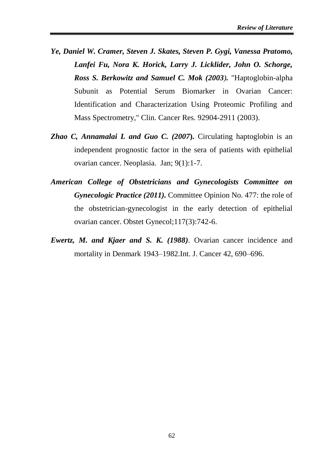- *Ye, Daniel W. Cramer, Steven J. Skates, Steven P. Gygi, Vanessa Pratomo, Lanfei Fu, Nora K. Horick, Larry J. Licklider, John O. Schorge, Ross S. Berkowitz and Samuel C. Mok (2003).* "Haptoglobin-alpha Subunit as Potential Serum Biomarker in Ovarian Cancer: Identification and Characterization Using Proteomic Profiling and Mass Spectrometry," Clin. Cancer Res. 92904-2911 (2003).
- *[Zhao C,](http://www.ncbi.nlm.nih.gov/sites/entrez?Db=pubmed&Cmd=Search&Term=%22Zhao%20C%22%5BAuthor%5D&itool=EntrezSystem2.PEntrez.Pubmed.Pubmed_ResultsPanel.Pubmed_DiscoveryPanel.Pubmed_RVAbstractPlus) [Annamalai L](http://www.ncbi.nlm.nih.gov/sites/entrez?Db=pubmed&Cmd=Search&Term=%22Annamalai%20L%22%5BAuthor%5D&itool=EntrezSystem2.PEntrez.Pubmed.Pubmed_ResultsPanel.Pubmed_DiscoveryPanel.Pubmed_RVAbstractPlus) and [Guo C.](http://www.ncbi.nlm.nih.gov/sites/entrez?Db=pubmed&Cmd=Search&Term=%22Guo%20C%22%5BAuthor%5D&itool=EntrezSystem2.PEntrez.Pubmed.Pubmed_ResultsPanel.Pubmed_DiscoveryPanel.Pubmed_RVAbstractPlus) (2007***).** Circulating haptoglobin is an independent prognostic factor in the sera of patients with epithelial ovarian cancer. [Neoplasia.](javascript:AL_get(this,%20) Jan; 9(1):1-7.
- *American College of Obstetricians and Gynecologists Committee on Gynecologic Practice (2011).* Committee Opinion No. 477: the role of the obstetrician-gynecologist in the early detection of epithelial ovarian cancer. Obstet Gynecol;117(3):742-6.
- *Ewertz, M. and Kjaer and S. K. (1988)*. Ovarian cancer incidence and mortality in Denmark 1943–1982.Int. J. Cancer 42, 690–696.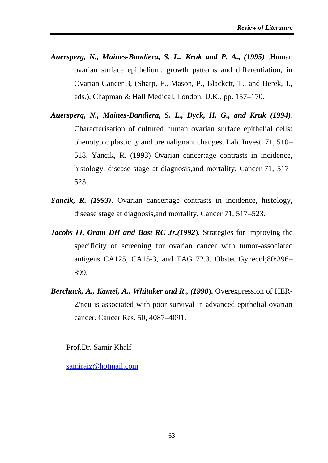- *Auersperg, N., Maines-Bandiera, S. L., Kruk and P. A., (1995)* .Human ovarian surface epithelium: growth patterns and differentiation, in Ovarian Cancer 3, (Sharp, F., Mason, P., Blackett, T., and Berek, J., eds.), Chapman & Hall Medical, London, U.K., pp. 157–170.
- *Auersperg, N., Maines-Bandiera, S. L., Dyck, H. G., and Kruk (1994)*. Characterisation of cultured human ovarian surface epithelial cells: phenotypic plasticity and premalignant changes. Lab. Invest. 71, 510– 518. Yancik, R. (1993) Ovarian cancer:age contrasts in incidence, histology, disease stage at diagnosis, and mortality. Cancer 71, 517– 523.
- *Yancik, R. (1993)*. Ovarian cancer:age contrasts in incidence, histology, disease stage at diagnosis,and mortality. Cancer 71, 517–523.
- *Jacobs IJ, Oram DH and Bast RC Jr.(1992*). Strategies for improving the specificity of screening for ovarian cancer with tumor-associated antigens CA125, CA15-3, and TAG 72.3. Obstet Gynecol;80:396– 399.
- *Berchuck, A., Kamel, A., Whitaker and R., (1990***).** Overexpression of HER-2/neu is associated with poor survival in advanced epithelial ovarian cancer. Cancer Res. 50, 4087–4091.

Prof.Dr. Samir Khalf

[samiraiz@hotmail.com](mailto:samiraiz@hotmail.com)